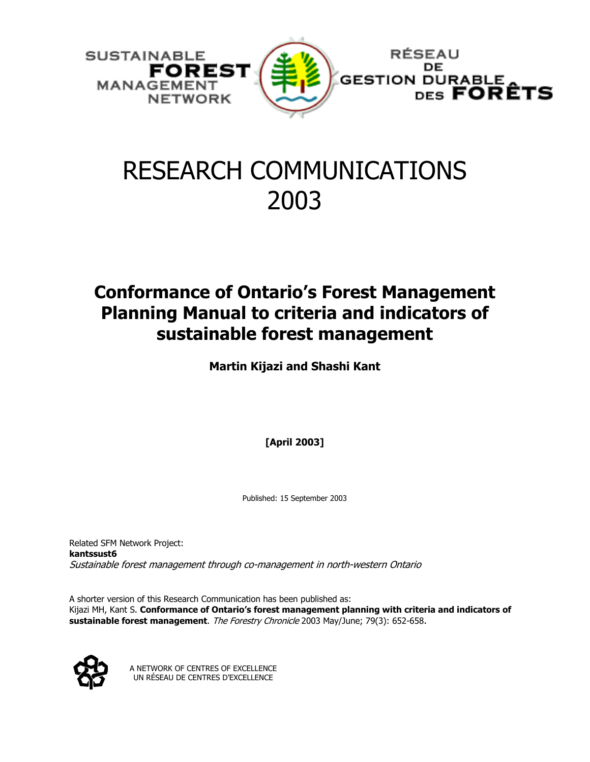

# RESEARCH COMMUNICATIONS 2003

# **Conformance of Ontario's Forest Management Planning Manual to criteria and indicators of sustainable forest management**

**Martin Kijazi and Shashi Kant** 

**[April 2003]** 

Published: 15 September 2003

Related SFM Network Project: **kantssust6** Sustainable forest management through co-management in north-western Ontario

A shorter version of this Research Communication has been published as: Kijazi MH, Kant S. **Conformance of Ontario's forest management planning with criteria and indicators of sustainable forest management**. The Forestry Chronicle 2003 May/June; 79(3): 652-658.



A NETWORK OF CENTRES OF EXCELLENCE UN RÉSEAU DE CENTRES D'EXCELLENCE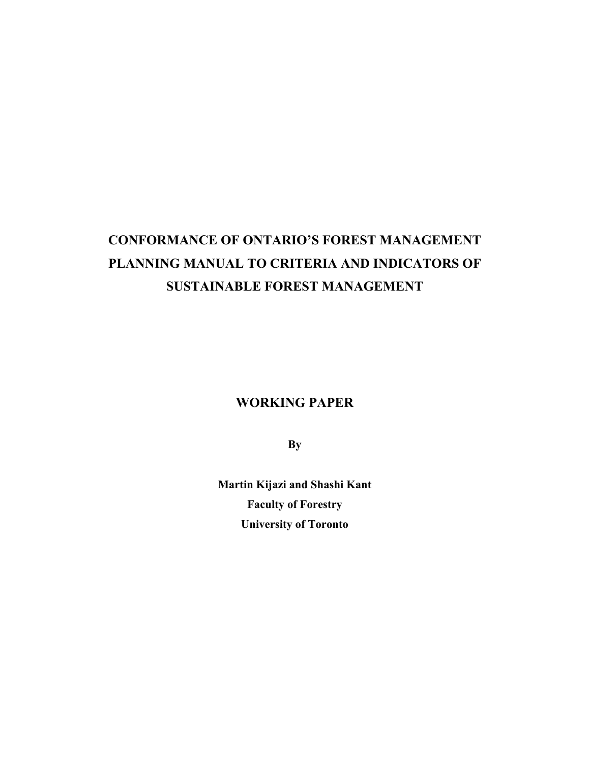# **CONFORMANCE OF ONTARIO'S FOREST MANAGEMENT PLANNING MANUAL TO CRITERIA AND INDICATORS OF SUSTAINABLE FOREST MANAGEMENT**

**WORKING PAPER** 

**By** 

**Martin Kijazi and Shashi Kant Faculty of Forestry University of Toronto**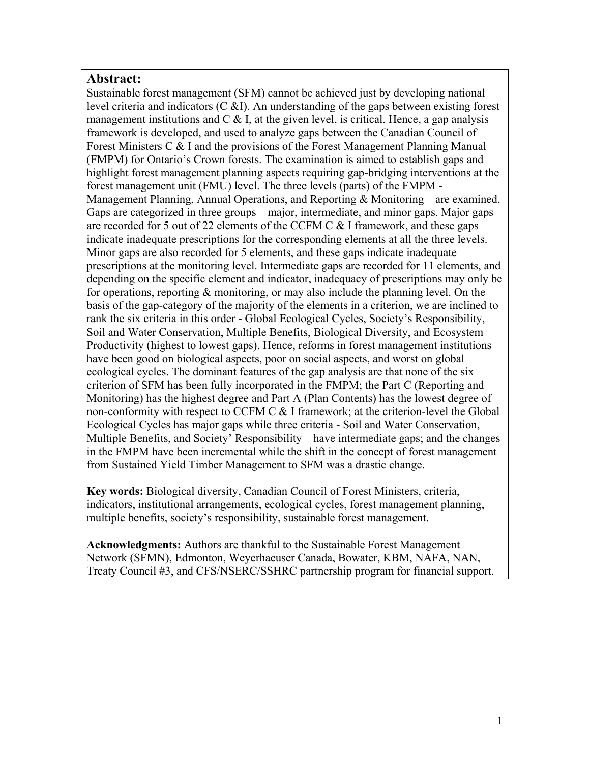# **Abstract:**

Sustainable forest management (SFM) cannot be achieved just by developing national level criteria and indicators  $(C \& I)$ . An understanding of the gaps between existing forest management institutions and  $C \& I$ , at the given level, is critical. Hence, a gap analysis framework is developed, and used to analyze gaps between the Canadian Council of Forest Ministers C & I and the provisions of the Forest Management Planning Manual (FMPM) for Ontario's Crown forests. The examination is aimed to establish gaps and highlight forest management planning aspects requiring gap-bridging interventions at the forest management unit (FMU) level. The three levels (parts) of the FMPM - Management Planning, Annual Operations, and Reporting  $\&$  Monitoring – are examined. Gaps are categorized in three groups – major, intermediate, and minor gaps. Major gaps are recorded for 5 out of 22 elements of the CCFM C & I framework, and these gaps indicate inadequate prescriptions for the corresponding elements at all the three levels. Minor gaps are also recorded for 5 elements, and these gaps indicate inadequate prescriptions at the monitoring level. Intermediate gaps are recorded for 11 elements, and depending on the specific element and indicator, inadequacy of prescriptions may only be for operations, reporting & monitoring, or may also include the planning level. On the basis of the gap-category of the majority of the elements in a criterion, we are inclined to rank the six criteria in this order - Global Ecological Cycles, Society's Responsibility, Soil and Water Conservation, Multiple Benefits, Biological Diversity, and Ecosystem Productivity (highest to lowest gaps). Hence, reforms in forest management institutions have been good on biological aspects, poor on social aspects, and worst on global ecological cycles. The dominant features of the gap analysis are that none of the six criterion of SFM has been fully incorporated in the FMPM; the Part C (Reporting and Monitoring) has the highest degree and Part A (Plan Contents) has the lowest degree of non-conformity with respect to CCFM C & I framework; at the criterion-level the Global Ecological Cycles has major gaps while three criteria - Soil and Water Conservation, Multiple Benefits, and Society' Responsibility – have intermediate gaps; and the changes in the FMPM have been incremental while the shift in the concept of forest management from Sustained Yield Timber Management to SFM was a drastic change.

**Key words:** Biological diversity, Canadian Council of Forest Ministers, criteria, indicators, institutional arrangements, ecological cycles, forest management planning, multiple benefits, society's responsibility, sustainable forest management.

**Acknowledgments:** Authors are thankful to the Sustainable Forest Management Network (SFMN), Edmonton, Weyerhaeuser Canada, Bowater, KBM, NAFA, NAN, Treaty Council #3, and CFS/NSERC/SSHRC partnership program for financial support.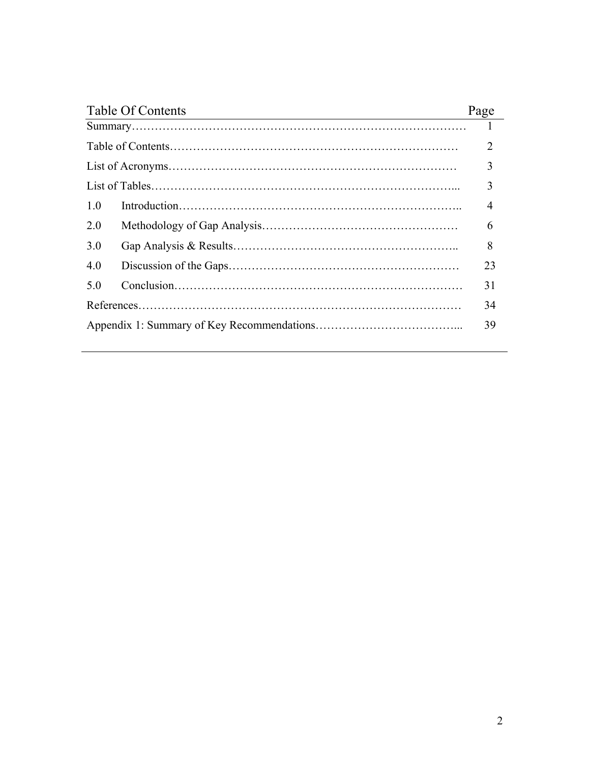| <b>Table Of Contents</b> | Page |  |
|--------------------------|------|--|
|                          |      |  |
|                          |      |  |
|                          | 3    |  |
|                          | 3    |  |
| 10                       | 4    |  |
| 20                       | 6    |  |
| 3.0                      | 8    |  |
| 4.0                      | 23   |  |
| 5.0                      | 31   |  |
|                          | 34   |  |
|                          |      |  |
|                          |      |  |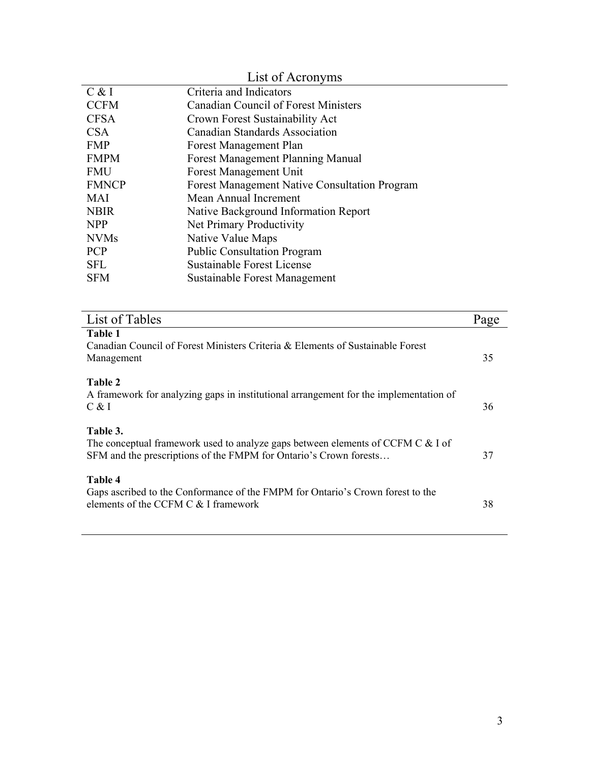|              | List of Acronyms                                     |
|--------------|------------------------------------------------------|
| C & I        | Criteria and Indicators                              |
| <b>CCFM</b>  | <b>Canadian Council of Forest Ministers</b>          |
| <b>CFSA</b>  | Crown Forest Sustainability Act                      |
| <b>CSA</b>   | <b>Canadian Standards Association</b>                |
| <b>FMP</b>   | Forest Management Plan                               |
| <b>FMPM</b>  | <b>Forest Management Planning Manual</b>             |
| <b>FMU</b>   | <b>Forest Management Unit</b>                        |
| <b>FMNCP</b> | <b>Forest Management Native Consultation Program</b> |
| <b>MAI</b>   | Mean Annual Increment                                |
| <b>NBIR</b>  | Native Background Information Report                 |
| <b>NPP</b>   | <b>Net Primary Productivity</b>                      |
| <b>NVMs</b>  | Native Value Maps                                    |
| <b>PCP</b>   | <b>Public Consultation Program</b>                   |
| <b>SFL</b>   | Sustainable Forest License                           |
| <b>SFM</b>   | Sustainable Forest Management                        |

l,

| List of Tables                                                                                                                                                   | Page |
|------------------------------------------------------------------------------------------------------------------------------------------------------------------|------|
| Table 1<br>Canadian Council of Forest Ministers Criteria & Elements of Sustainable Forest<br>Management                                                          | 35   |
| Table 2<br>A framework for analyzing gaps in institutional arrangement for the implementation of<br>C & I                                                        | 36   |
| Table 3.<br>The conceptual framework used to analyze gaps between elements of CCFM C & I of<br>SFM and the prescriptions of the FMPM for Ontario's Crown forests | 37   |
| Table 4<br>Gaps ascribed to the Conformance of the FMPM for Ontario's Crown forest to the<br>elements of the CCFM $C < I$ framework                              | 38   |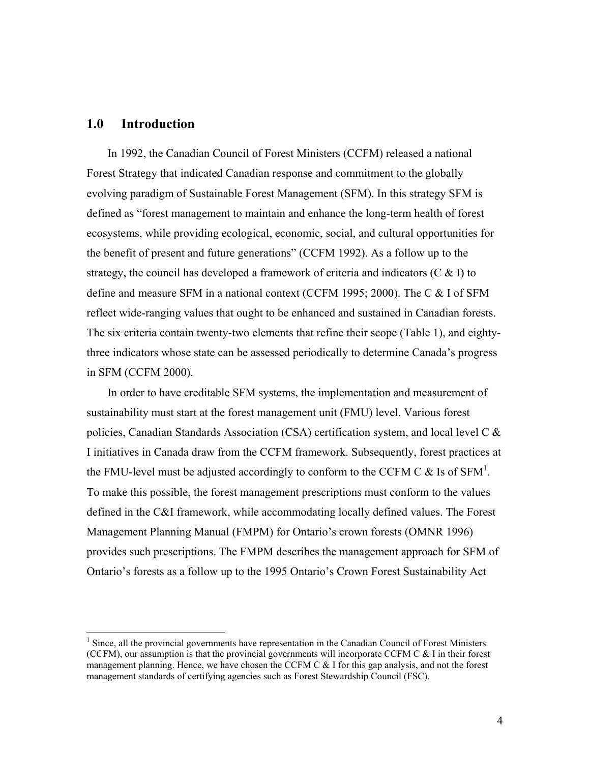# **1.0 Introduction**

 $\overline{a}$ 

In 1992, the Canadian Council of Forest Ministers (CCFM) released a national Forest Strategy that indicated Canadian response and commitment to the globally evolving paradigm of Sustainable Forest Management (SFM). In this strategy SFM is defined as "forest management to maintain and enhance the long-term health of forest ecosystems, while providing ecological, economic, social, and cultural opportunities for the benefit of present and future generations" (CCFM 1992). As a follow up to the strategy, the council has developed a framework of criteria and indicators (C  $\&$  I) to define and measure SFM in a national context (CCFM 1995; 2000). The C & I of SFM reflect wide-ranging values that ought to be enhanced and sustained in Canadian forests. The six criteria contain twenty-two elements that refine their scope (Table 1), and eightythree indicators whose state can be assessed periodically to determine Canada's progress in SFM (CCFM 2000).

In order to have creditable SFM systems, the implementation and measurement of sustainability must start at the forest management unit (FMU) level. Various forest policies, Canadian Standards Association (CSA) certification system, and local level C & I initiatives in Canada draw from the CCFM framework. Subsequently, forest practices at the FMU-level must be adjusted accordingly to conform to the CCFM C  $\&$  Is of SFM<sup>1</sup>. To make this possible, the forest management prescriptions must conform to the values defined in the C&I framework, while accommodating locally defined values. The Forest Management Planning Manual (FMPM) for Ontario's crown forests (OMNR 1996) provides such prescriptions. The FMPM describes the management approach for SFM of Ontario's forests as a follow up to the 1995 Ontario's Crown Forest Sustainability Act

<sup>&</sup>lt;sup>1</sup> Since, all the provincial governments have representation in the Canadian Council of Forest Ministers (CCFM), our assumption is that the provincial governments will incorporate CCFM C & I in their forest management planning. Hence, we have chosen the CCFM C  $&$  I for this gap analysis, and not the forest management standards of certifying agencies such as Forest Stewardship Council (FSC).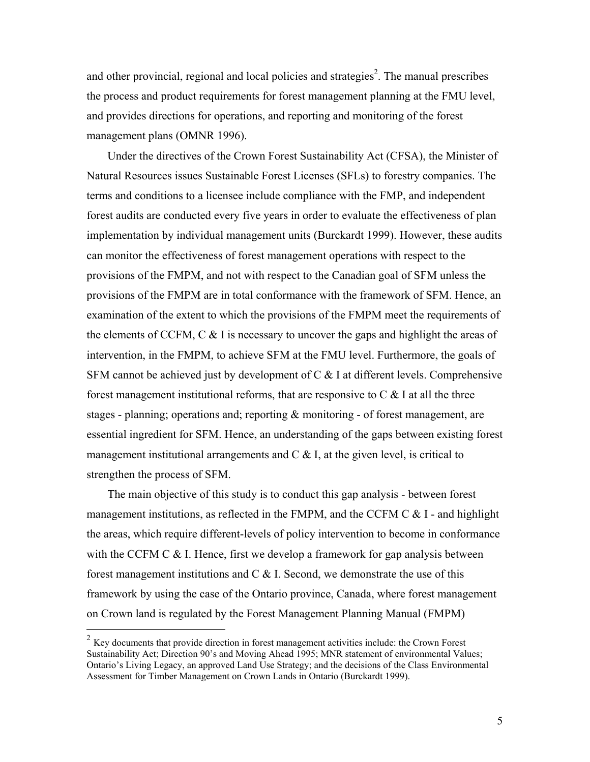and other provincial, regional and local policies and strategies<sup>2</sup>. The manual prescribes the process and product requirements for forest management planning at the FMU level, and provides directions for operations, and reporting and monitoring of the forest management plans (OMNR 1996).

Under the directives of the Crown Forest Sustainability Act (CFSA), the Minister of Natural Resources issues Sustainable Forest Licenses (SFLs) to forestry companies. The terms and conditions to a licensee include compliance with the FMP, and independent forest audits are conducted every five years in order to evaluate the effectiveness of plan implementation by individual management units (Burckardt 1999). However, these audits can monitor the effectiveness of forest management operations with respect to the provisions of the FMPM, and not with respect to the Canadian goal of SFM unless the provisions of the FMPM are in total conformance with the framework of SFM. Hence, an examination of the extent to which the provisions of the FMPM meet the requirements of the elements of CCFM, C  $\&$  I is necessary to uncover the gaps and highlight the areas of intervention, in the FMPM, to achieve SFM at the FMU level. Furthermore, the goals of SFM cannot be achieved just by development of C & I at different levels. Comprehensive forest management institutional reforms, that are responsive to  $C \& 1$  at all the three stages - planning; operations and; reporting  $\&$  monitoring - of forest management, are essential ingredient for SFM. Hence, an understanding of the gaps between existing forest management institutional arrangements and  $C \&$  I, at the given level, is critical to strengthen the process of SFM.

The main objective of this study is to conduct this gap analysis - between forest management institutions, as reflected in the FMPM, and the CCFM  $C & I$  - and highlight the areas, which require different-levels of policy intervention to become in conformance with the CCFM C & I. Hence, first we develop a framework for gap analysis between forest management institutions and  $C \& 1$ . Second, we demonstrate the use of this framework by using the case of the Ontario province, Canada, where forest management on Crown land is regulated by the Forest Management Planning Manual (FMPM)

 $\overline{a}$ 

 $2 K$ ev documents that provide direction in forest management activities include: the Crown Forest Sustainability Act; Direction 90's and Moving Ahead 1995; MNR statement of environmental Values; Ontario's Living Legacy, an approved Land Use Strategy; and the decisions of the Class Environmental Assessment for Timber Management on Crown Lands in Ontario (Burckardt 1999).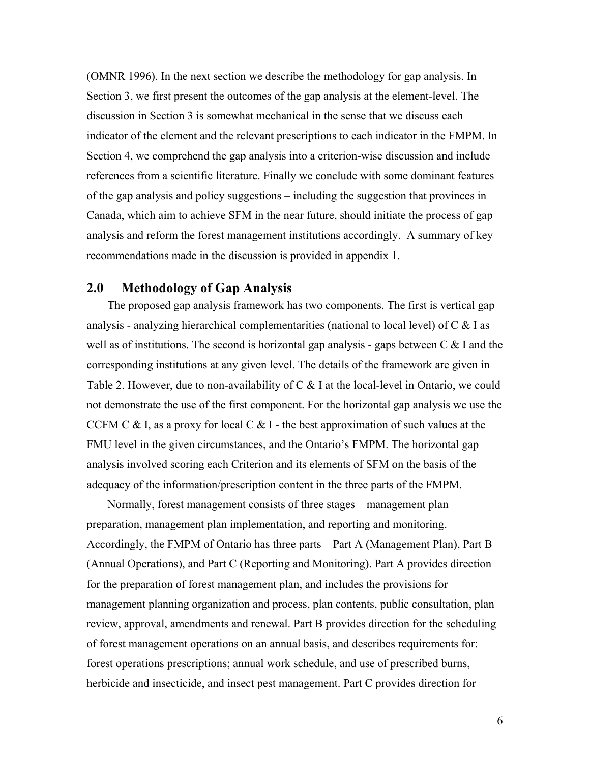(OMNR 1996). In the next section we describe the methodology for gap analysis. In Section 3, we first present the outcomes of the gap analysis at the element-level. The discussion in Section 3 is somewhat mechanical in the sense that we discuss each indicator of the element and the relevant prescriptions to each indicator in the FMPM. In Section 4, we comprehend the gap analysis into a criterion-wise discussion and include references from a scientific literature. Finally we conclude with some dominant features of the gap analysis and policy suggestions – including the suggestion that provinces in Canada, which aim to achieve SFM in the near future, should initiate the process of gap analysis and reform the forest management institutions accordingly. A summary of key recommendations made in the discussion is provided in appendix 1.

# **2.0 Methodology of Gap Analysis**

The proposed gap analysis framework has two components. The first is vertical gap analysis - analyzing hierarchical complementarities (national to local level) of  $C \& S$  I as well as of institutions. The second is horizontal gap analysis - gaps between  $C \& 1$  and the corresponding institutions at any given level. The details of the framework are given in Table 2. However, due to non-availability of C & I at the local-level in Ontario, we could not demonstrate the use of the first component. For the horizontal gap analysis we use the CCFM C & I, as a proxy for local C & I - the best approximation of such values at the FMU level in the given circumstances, and the Ontario's FMPM. The horizontal gap analysis involved scoring each Criterion and its elements of SFM on the basis of the adequacy of the information/prescription content in the three parts of the FMPM.

Normally, forest management consists of three stages – management plan preparation, management plan implementation, and reporting and monitoring. Accordingly, the FMPM of Ontario has three parts – Part A (Management Plan), Part B (Annual Operations), and Part C (Reporting and Monitoring). Part A provides direction for the preparation of forest management plan, and includes the provisions for management planning organization and process, plan contents, public consultation, plan review, approval, amendments and renewal. Part B provides direction for the scheduling of forest management operations on an annual basis, and describes requirements for: forest operations prescriptions; annual work schedule, and use of prescribed burns, herbicide and insecticide, and insect pest management. Part C provides direction for

6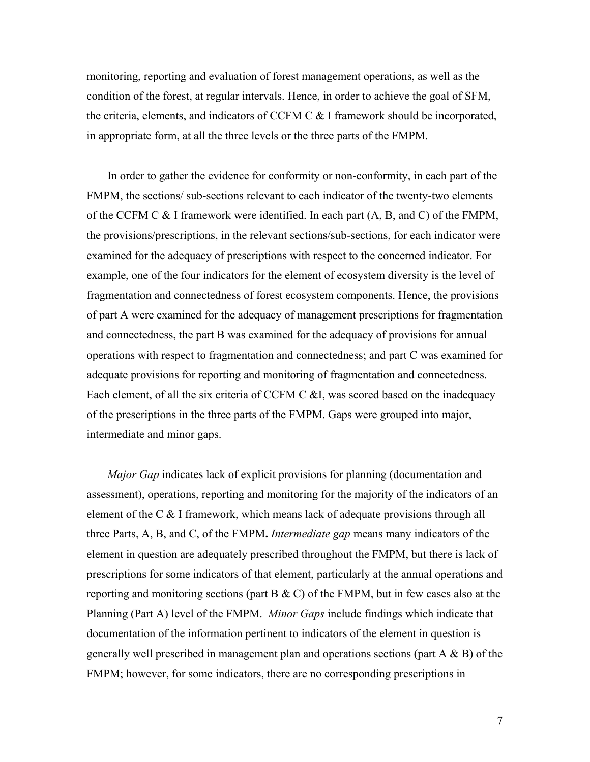monitoring, reporting and evaluation of forest management operations, as well as the condition of the forest, at regular intervals. Hence, in order to achieve the goal of SFM, the criteria, elements, and indicators of CCFM C & I framework should be incorporated, in appropriate form, at all the three levels or the three parts of the FMPM.

In order to gather the evidence for conformity or non-conformity, in each part of the FMPM, the sections/ sub-sections relevant to each indicator of the twenty-two elements of the CCFM C & I framework were identified. In each part (A, B, and C) of the FMPM, the provisions/prescriptions, in the relevant sections/sub-sections, for each indicator were examined for the adequacy of prescriptions with respect to the concerned indicator. For example, one of the four indicators for the element of ecosystem diversity is the level of fragmentation and connectedness of forest ecosystem components. Hence, the provisions of part A were examined for the adequacy of management prescriptions for fragmentation and connectedness, the part B was examined for the adequacy of provisions for annual operations with respect to fragmentation and connectedness; and part C was examined for adequate provisions for reporting and monitoring of fragmentation and connectedness. Each element, of all the six criteria of CCFM C &I, was scored based on the inadequacy of the prescriptions in the three parts of the FMPM. Gaps were grouped into major, intermediate and minor gaps.

*Major Gap* indicates lack of explicit provisions for planning (documentation and assessment), operations, reporting and monitoring for the majority of the indicators of an element of the C & I framework, which means lack of adequate provisions through all three Parts, A, B, and C, of the FMPM**.** *Intermediate gap* means many indicators of the element in question are adequately prescribed throughout the FMPM, but there is lack of prescriptions for some indicators of that element, particularly at the annual operations and reporting and monitoring sections (part  $B \& C$ ) of the FMPM, but in few cases also at the Planning (Part A) level of the FMPM. *Minor Gaps* include findings which indicate that documentation of the information pertinent to indicators of the element in question is generally well prescribed in management plan and operations sections (part  $A \& B$ ) of the FMPM; however, for some indicators, there are no corresponding prescriptions in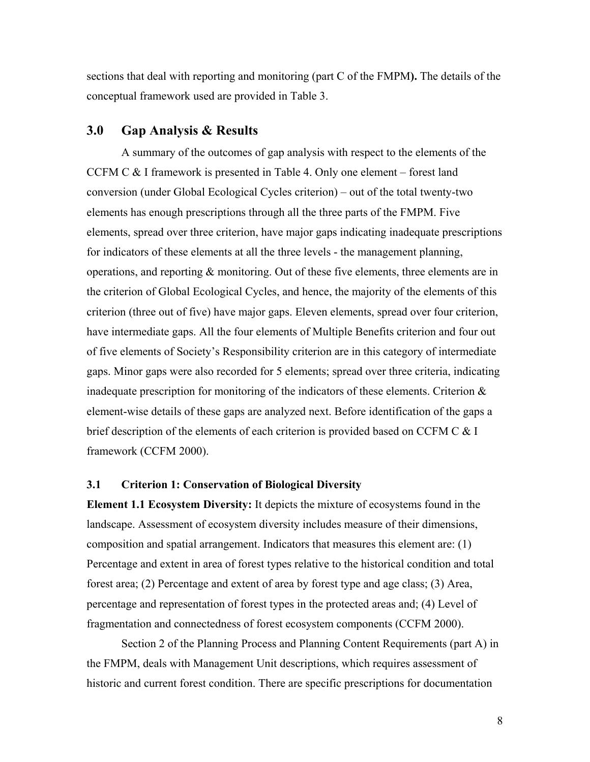sections that deal with reporting and monitoring (part C of the FMPM**).** The details of the conceptual framework used are provided in Table 3.

# **3.0 Gap Analysis & Results**

A summary of the outcomes of gap analysis with respect to the elements of the CCFM C & I framework is presented in Table 4. Only one element – forest land conversion (under Global Ecological Cycles criterion) – out of the total twenty-two elements has enough prescriptions through all the three parts of the FMPM. Five elements, spread over three criterion, have major gaps indicating inadequate prescriptions for indicators of these elements at all the three levels - the management planning, operations, and reporting & monitoring. Out of these five elements, three elements are in the criterion of Global Ecological Cycles, and hence, the majority of the elements of this criterion (three out of five) have major gaps. Eleven elements, spread over four criterion, have intermediate gaps. All the four elements of Multiple Benefits criterion and four out of five elements of Society's Responsibility criterion are in this category of intermediate gaps. Minor gaps were also recorded for 5 elements; spread over three criteria, indicating inadequate prescription for monitoring of the indicators of these elements. Criterion & element-wise details of these gaps are analyzed next. Before identification of the gaps a brief description of the elements of each criterion is provided based on CCFM C & I framework (CCFM 2000).

#### **3.1 Criterion 1: Conservation of Biological Diversity**

**Element 1.1 Ecosystem Diversity:** It depicts the mixture of ecosystems found in the landscape. Assessment of ecosystem diversity includes measure of their dimensions, composition and spatial arrangement. Indicators that measures this element are: (1) Percentage and extent in area of forest types relative to the historical condition and total forest area; (2) Percentage and extent of area by forest type and age class; (3) Area, percentage and representation of forest types in the protected areas and; (4) Level of fragmentation and connectedness of forest ecosystem components (CCFM 2000).

Section 2 of the Planning Process and Planning Content Requirements (part A) in the FMPM, deals with Management Unit descriptions, which requires assessment of historic and current forest condition. There are specific prescriptions for documentation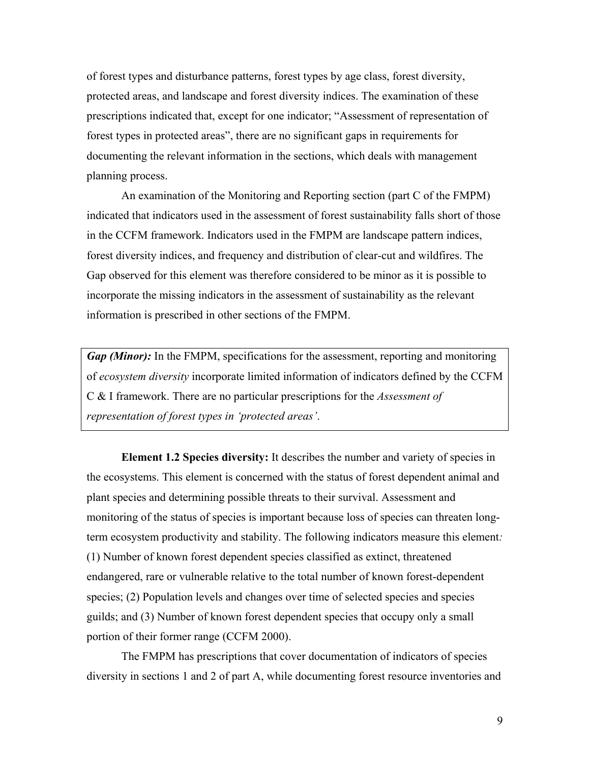of forest types and disturbance patterns, forest types by age class, forest diversity, protected areas, and landscape and forest diversity indices. The examination of these prescriptions indicated that, except for one indicator; "Assessment of representation of forest types in protected areas", there are no significant gaps in requirements for documenting the relevant information in the sections, which deals with management planning process.

An examination of the Monitoring and Reporting section (part C of the FMPM) indicated that indicators used in the assessment of forest sustainability falls short of those in the CCFM framework. Indicators used in the FMPM are landscape pattern indices, forest diversity indices, and frequency and distribution of clear-cut and wildfires. The Gap observed for this element was therefore considered to be minor as it is possible to incorporate the missing indicators in the assessment of sustainability as the relevant information is prescribed in other sections of the FMPM.

*Gap (Minor):* In the FMPM, specifications for the assessment, reporting and monitoring of *ecosystem diversity* incorporate limited information of indicators defined by the CCFM C & I framework. There are no particular prescriptions for the *Assessment of representation of forest types in 'protected areas'*.

**Element 1.2 Species diversity:** It describes the number and variety of species in the ecosystems. This element is concerned with the status of forest dependent animal and plant species and determining possible threats to their survival. Assessment and monitoring of the status of species is important because loss of species can threaten longterm ecosystem productivity and stability. The following indicators measure this element*:* (1) Number of known forest dependent species classified as extinct, threatened endangered, rare or vulnerable relative to the total number of known forest-dependent species; (2) Population levels and changes over time of selected species and species guilds; and (3) Number of known forest dependent species that occupy only a small portion of their former range (CCFM 2000).

The FMPM has prescriptions that cover documentation of indicators of species diversity in sections 1 and 2 of part A, while documenting forest resource inventories and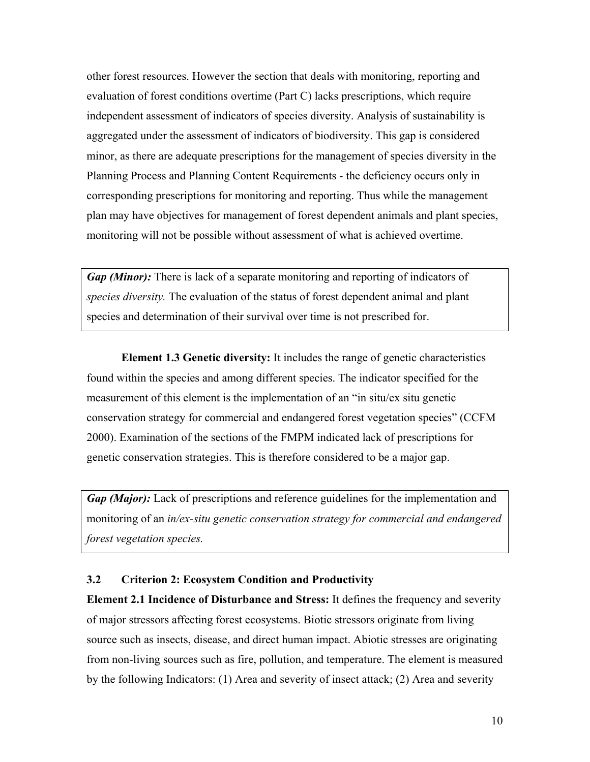other forest resources. However the section that deals with monitoring, reporting and evaluation of forest conditions overtime (Part C) lacks prescriptions, which require independent assessment of indicators of species diversity. Analysis of sustainability is aggregated under the assessment of indicators of biodiversity. This gap is considered minor, as there are adequate prescriptions for the management of species diversity in the Planning Process and Planning Content Requirements - the deficiency occurs only in corresponding prescriptions for monitoring and reporting. Thus while the management plan may have objectives for management of forest dependent animals and plant species, monitoring will not be possible without assessment of what is achieved overtime.

*Gap (Minor):* There is lack of a separate monitoring and reporting of indicators of *species diversity.* The evaluation of the status of forest dependent animal and plant species and determination of their survival over time is not prescribed for.

**Element 1.3 Genetic diversity:** It includes the range of genetic characteristics found within the species and among different species. The indicator specified for the measurement of this element is the implementation of an "in situ/ex situ genetic conservation strategy for commercial and endangered forest vegetation species" (CCFM 2000). Examination of the sections of the FMPM indicated lack of prescriptions for genetic conservation strategies. This is therefore considered to be a major gap.

*Gap (Major):* Lack of prescriptions and reference guidelines for the implementation and monitoring of an *in/ex-situ genetic conservation strategy for commercial and endangered forest vegetation species.* 

# **3.2 Criterion 2: Ecosystem Condition and Productivity**

**Element 2.1 Incidence of Disturbance and Stress:** It defines the frequency and severity of major stressors affecting forest ecosystems. Biotic stressors originate from living source such as insects, disease, and direct human impact. Abiotic stresses are originating from non-living sources such as fire, pollution, and temperature. The element is measured by the following Indicators: (1) Area and severity of insect attack; (2) Area and severity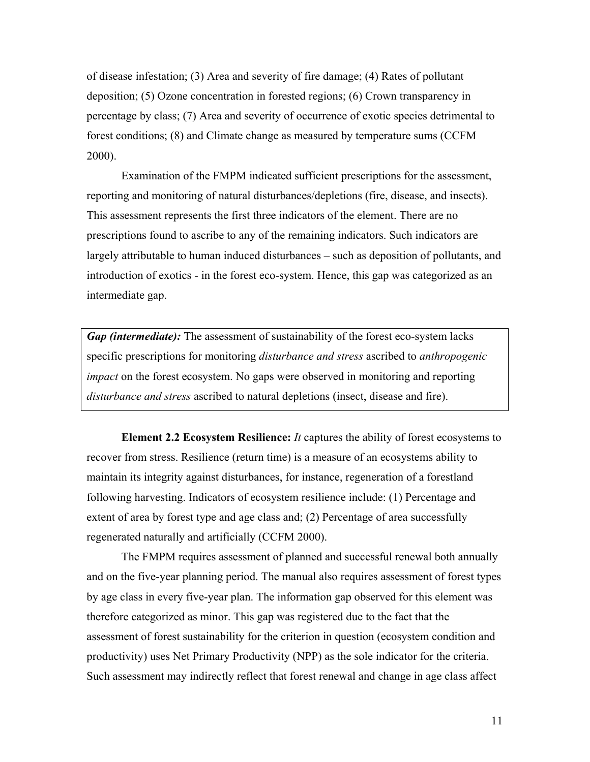of disease infestation; (3) Area and severity of fire damage; (4) Rates of pollutant deposition; (5) Ozone concentration in forested regions; (6) Crown transparency in percentage by class; (7) Area and severity of occurrence of exotic species detrimental to forest conditions; (8) and Climate change as measured by temperature sums (CCFM 2000).

Examination of the FMPM indicated sufficient prescriptions for the assessment, reporting and monitoring of natural disturbances/depletions (fire, disease, and insects). This assessment represents the first three indicators of the element. There are no prescriptions found to ascribe to any of the remaining indicators. Such indicators are largely attributable to human induced disturbances – such as deposition of pollutants, and introduction of exotics - in the forest eco-system. Hence, this gap was categorized as an intermediate gap.

*Gap (intermediate):* The assessment of sustainability of the forest eco-system lacks specific prescriptions for monitoring *disturbance and stress* ascribed to *anthropogenic impact* on the forest ecosystem. No gaps were observed in monitoring and reporting *disturbance and stress* ascribed to natural depletions (insect, disease and fire).

**Element 2.2 Ecosystem Resilience:** *It* captures the ability of forest ecosystems to recover from stress. Resilience (return time) is a measure of an ecosystems ability to maintain its integrity against disturbances, for instance, regeneration of a forestland following harvesting. Indicators of ecosystem resilience include: (1) Percentage and extent of area by forest type and age class and; (2) Percentage of area successfully regenerated naturally and artificially (CCFM 2000).

The FMPM requires assessment of planned and successful renewal both annually and on the five-year planning period. The manual also requires assessment of forest types by age class in every five-year plan. The information gap observed for this element was therefore categorized as minor. This gap was registered due to the fact that the assessment of forest sustainability for the criterion in question (ecosystem condition and productivity) uses Net Primary Productivity (NPP) as the sole indicator for the criteria. Such assessment may indirectly reflect that forest renewal and change in age class affect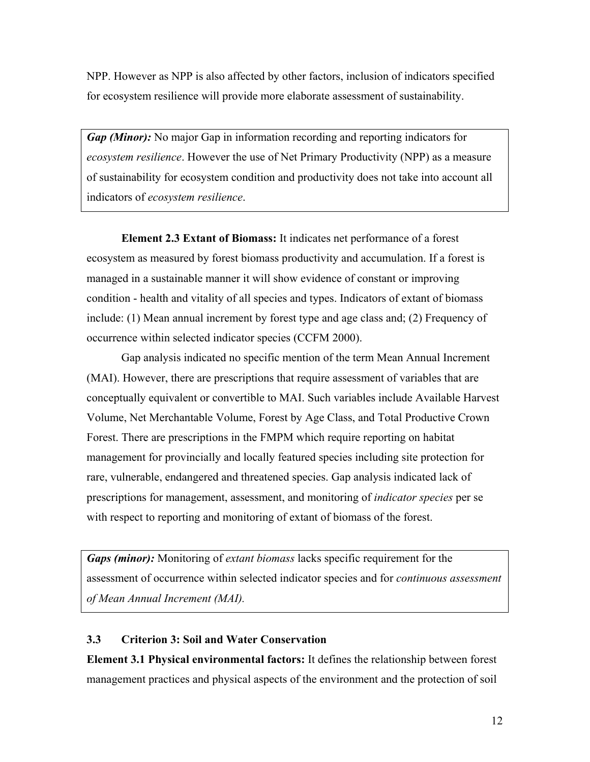NPP. However as NPP is also affected by other factors, inclusion of indicators specified for ecosystem resilience will provide more elaborate assessment of sustainability.

*Gap (Minor):* No major Gap in information recording and reporting indicators for *ecosystem resilience*. However the use of Net Primary Productivity (NPP) as a measure of sustainability for ecosystem condition and productivity does not take into account all indicators of *ecosystem resilience*.

**Element 2.3 Extant of Biomass:** It indicates net performance of a forest ecosystem as measured by forest biomass productivity and accumulation. If a forest is managed in a sustainable manner it will show evidence of constant or improving condition - health and vitality of all species and types. Indicators of extant of biomass include: (1) Mean annual increment by forest type and age class and; (2) Frequency of occurrence within selected indicator species (CCFM 2000).

Gap analysis indicated no specific mention of the term Mean Annual Increment (MAI). However, there are prescriptions that require assessment of variables that are conceptually equivalent or convertible to MAI. Such variables include Available Harvest Volume, Net Merchantable Volume, Forest by Age Class, and Total Productive Crown Forest. There are prescriptions in the FMPM which require reporting on habitat management for provincially and locally featured species including site protection for rare, vulnerable, endangered and threatened species. Gap analysis indicated lack of prescriptions for management, assessment, and monitoring of *indicator species* per se with respect to reporting and monitoring of extant of biomass of the forest.

*Gaps (minor):* Monitoring of *extant biomass* lacks specific requirement for the assessment of occurrence within selected indicator species and for *continuous assessment of Mean Annual Increment (MAI).*

# **3.3 Criterion 3: Soil and Water Conservation**

**Element 3.1 Physical environmental factors:** It defines the relationship between forest management practices and physical aspects of the environment and the protection of soil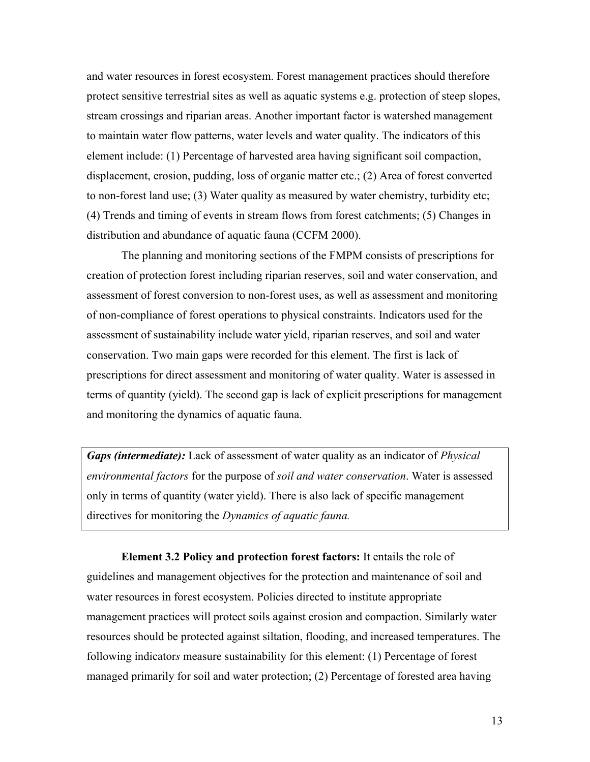and water resources in forest ecosystem. Forest management practices should therefore protect sensitive terrestrial sites as well as aquatic systems e.g. protection of steep slopes, stream crossings and riparian areas. Another important factor is watershed management to maintain water flow patterns, water levels and water quality. The indicators of this element include: (1) Percentage of harvested area having significant soil compaction, displacement, erosion, pudding, loss of organic matter etc.; (2) Area of forest converted to non-forest land use; (3) Water quality as measured by water chemistry, turbidity etc; (4) Trends and timing of events in stream flows from forest catchments; (5) Changes in distribution and abundance of aquatic fauna (CCFM 2000).

The planning and monitoring sections of the FMPM consists of prescriptions for creation of protection forest including riparian reserves, soil and water conservation, and assessment of forest conversion to non-forest uses, as well as assessment and monitoring of non-compliance of forest operations to physical constraints. Indicators used for the assessment of sustainability include water yield, riparian reserves, and soil and water conservation. Two main gaps were recorded for this element. The first is lack of prescriptions for direct assessment and monitoring of water quality. Water is assessed in terms of quantity (yield). The second gap is lack of explicit prescriptions for management and monitoring the dynamics of aquatic fauna.

*Gaps (intermediate):* Lack of assessment of water quality as an indicator of *Physical environmental factors* for the purpose of *soil and water conservation*. Water is assessed only in terms of quantity (water yield). There is also lack of specific management directives for monitoring the *Dynamics of aquatic fauna.*

**Element 3.2 Policy and protection forest factors:** It entails the role of guidelines and management objectives for the protection and maintenance of soil and water resources in forest ecosystem. Policies directed to institute appropriate management practices will protect soils against erosion and compaction. Similarly water resources should be protected against siltation, flooding, and increased temperatures. The following indicator*s* measure sustainability for this element: (1) Percentage of forest managed primarily for soil and water protection; (2) Percentage of forested area having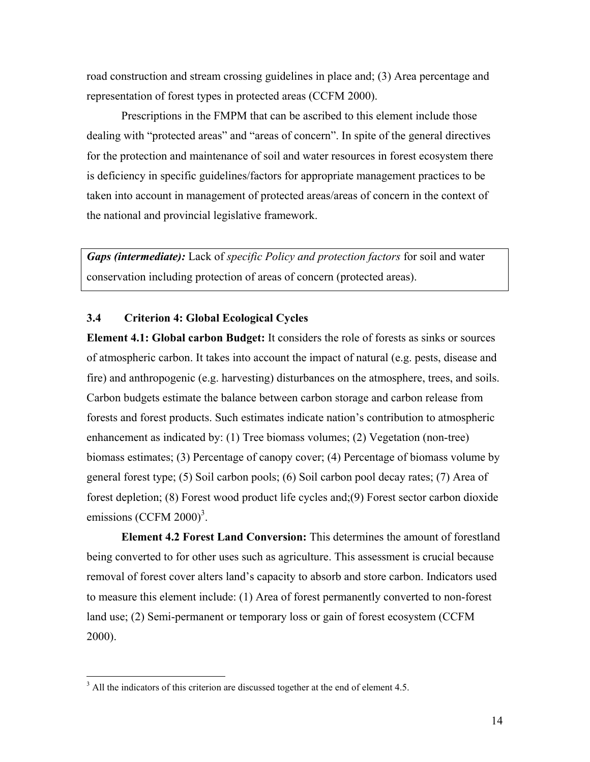road construction and stream crossing guidelines in place and; (3) Area percentage and representation of forest types in protected areas (CCFM 2000).

Prescriptions in the FMPM that can be ascribed to this element include those dealing with "protected areas" and "areas of concern". In spite of the general directives for the protection and maintenance of soil and water resources in forest ecosystem there is deficiency in specific guidelines/factors for appropriate management practices to be taken into account in management of protected areas/areas of concern in the context of the national and provincial legislative framework.

*Gaps (intermediate):* Lack of *specific Policy and protection factors* for soil and water conservation including protection of areas of concern (protected areas).

# **3.4 Criterion 4: Global Ecological Cycles**

**Element 4.1: Global carbon Budget:** It considers the role of forests as sinks or sources of atmospheric carbon. It takes into account the impact of natural (e.g. pests, disease and fire) and anthropogenic (e.g. harvesting) disturbances on the atmosphere, trees, and soils. Carbon budgets estimate the balance between carbon storage and carbon release from forests and forest products. Such estimates indicate nation's contribution to atmospheric enhancement as indicated by: (1) Tree biomass volumes; (2) Vegetation (non-tree) biomass estimates; (3) Percentage of canopy cover; (4) Percentage of biomass volume by general forest type; (5) Soil carbon pools; (6) Soil carbon pool decay rates; (7) Area of forest depletion; (8) Forest wood product life cycles and;(9) Forest sector carbon dioxide emissions  $(CCFM 2000)^3$ .

**Element 4.2 Forest Land Conversion:** This determines the amount of forestland being converted to for other uses such as agriculture. This assessment is crucial because removal of forest cover alters land's capacity to absorb and store carbon. Indicators used to measure this element include: (1) Area of forest permanently converted to non-forest land use; (2) Semi-permanent or temporary loss or gain of forest ecosystem (CCFM 2000).

<u>.</u>

 $3$  All the indicators of this criterion are discussed together at the end of element 4.5.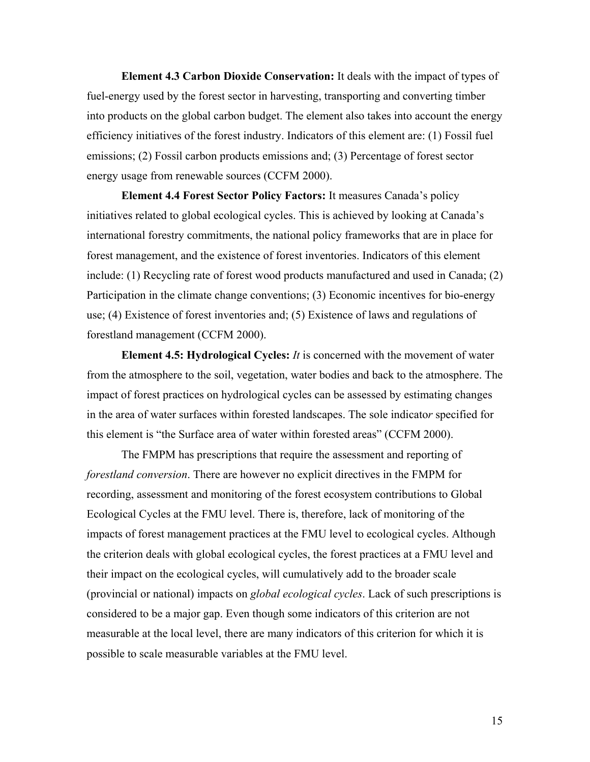**Element 4.3 Carbon Dioxide Conservation:** It deals with the impact of types of fuel-energy used by the forest sector in harvesting, transporting and converting timber into products on the global carbon budget. The element also takes into account the energy efficiency initiatives of the forest industry. Indicators of this element are: (1) Fossil fuel emissions; (2) Fossil carbon products emissions and; (3) Percentage of forest sector energy usage from renewable sources (CCFM 2000).

**Element 4.4 Forest Sector Policy Factors:** It measures Canada's policy initiatives related to global ecological cycles. This is achieved by looking at Canada's international forestry commitments, the national policy frameworks that are in place for forest management, and the existence of forest inventories. Indicators of this element include: (1) Recycling rate of forest wood products manufactured and used in Canada; (2) Participation in the climate change conventions; (3) Economic incentives for bio-energy use; (4) Existence of forest inventories and; (5) Existence of laws and regulations of forestland management (CCFM 2000).

**Element 4.5: Hydrological Cycles:** *It* is concerned with the movement of water from the atmosphere to the soil, vegetation, water bodies and back to the atmosphere. The impact of forest practices on hydrological cycles can be assessed by estimating changes in the area of water surfaces within forested landscapes. The sole indicato*r* specified for this element is "the Surface area of water within forested areas" (CCFM 2000).

The FMPM has prescriptions that require the assessment and reporting of *forestland conversion*. There are however no explicit directives in the FMPM for recording, assessment and monitoring of the forest ecosystem contributions to Global Ecological Cycles at the FMU level. There is, therefore, lack of monitoring of the impacts of forest management practices at the FMU level to ecological cycles. Although the criterion deals with global ecological cycles, the forest practices at a FMU level and their impact on the ecological cycles, will cumulatively add to the broader scale (provincial or national) impacts on *global ecological cycles*. Lack of such prescriptions is considered to be a major gap. Even though some indicators of this criterion are not measurable at the local level, there are many indicators of this criterion for which it is possible to scale measurable variables at the FMU level.

15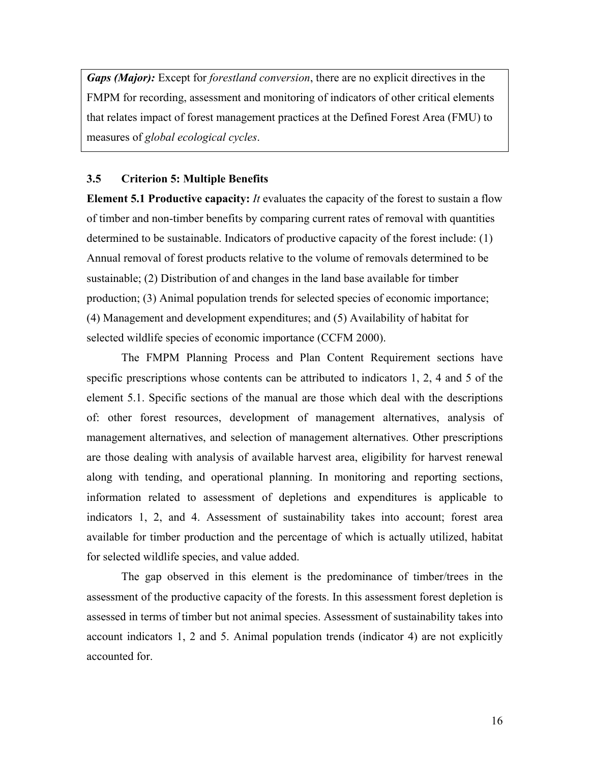*Gaps (Major):* Except for *forestland conversion*, there are no explicit directives in the FMPM for recording, assessment and monitoring of indicators of other critical elements that relates impact of forest management practices at the Defined Forest Area (FMU) to measures of *global ecological cycles*.

#### **3.5 Criterion 5: Multiple Benefits**

**Element 5.1 Productive capacity:** *It* evaluates the capacity of the forest to sustain a flow of timber and non-timber benefits by comparing current rates of removal with quantities determined to be sustainable. Indicators of productive capacity of the forest include: (1) Annual removal of forest products relative to the volume of removals determined to be sustainable; (2) Distribution of and changes in the land base available for timber production; (3) Animal population trends for selected species of economic importance; (4) Management and development expenditures; and (5) Availability of habitat for selected wildlife species of economic importance (CCFM 2000).

The FMPM Planning Process and Plan Content Requirement sections have specific prescriptions whose contents can be attributed to indicators 1, 2, 4 and 5 of the element 5.1. Specific sections of the manual are those which deal with the descriptions of: other forest resources, development of management alternatives, analysis of management alternatives, and selection of management alternatives. Other prescriptions are those dealing with analysis of available harvest area, eligibility for harvest renewal along with tending, and operational planning. In monitoring and reporting sections, information related to assessment of depletions and expenditures is applicable to indicators 1, 2, and 4. Assessment of sustainability takes into account; forest area available for timber production and the percentage of which is actually utilized, habitat for selected wildlife species, and value added.

The gap observed in this element is the predominance of timber/trees in the assessment of the productive capacity of the forests. In this assessment forest depletion is assessed in terms of timber but not animal species. Assessment of sustainability takes into account indicators 1, 2 and 5. Animal population trends (indicator 4) are not explicitly accounted for.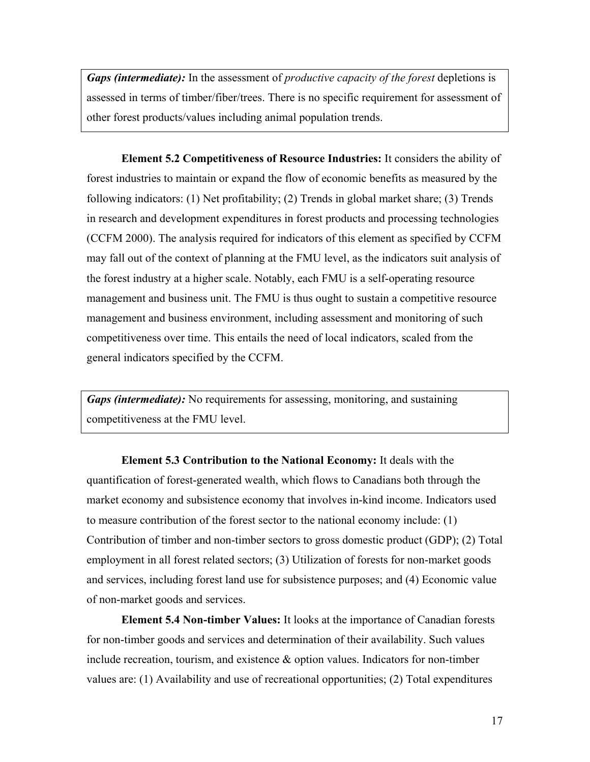*Gaps (intermediate):* In the assessment of *productive capacity of the forest* depletions is assessed in terms of timber/fiber/trees. There is no specific requirement for assessment of other forest products/values including animal population trends.

**Element 5.2 Competitiveness of Resource Industries:** It considers the ability of forest industries to maintain or expand the flow of economic benefits as measured by the following indicators: (1) Net profitability; (2) Trends in global market share; (3) Trends in research and development expenditures in forest products and processing technologies (CCFM 2000). The analysis required for indicators of this element as specified by CCFM may fall out of the context of planning at the FMU level, as the indicators suit analysis of the forest industry at a higher scale. Notably, each FMU is a self-operating resource management and business unit. The FMU is thus ought to sustain a competitive resource management and business environment, including assessment and monitoring of such competitiveness over time. This entails the need of local indicators, scaled from the general indicators specified by the CCFM.

*Gaps (intermediate):* No requirements for assessing, monitoring, and sustaining competitiveness at the FMU level.

**Element 5.3 Contribution to the National Economy:** It deals with the quantification of forest-generated wealth, which flows to Canadians both through the market economy and subsistence economy that involves in-kind income. Indicators used to measure contribution of the forest sector to the national economy include: (1) Contribution of timber and non-timber sectors to gross domestic product (GDP); (2) Total employment in all forest related sectors; (3) Utilization of forests for non-market goods and services, including forest land use for subsistence purposes; and (4) Economic value of non-market goods and services.

**Element 5.4 Non-timber Values:** It looks at the importance of Canadian forests for non-timber goods and services and determination of their availability. Such values include recreation, tourism, and existence & option values. Indicators for non-timber values are: (1) Availability and use of recreational opportunities; (2) Total expenditures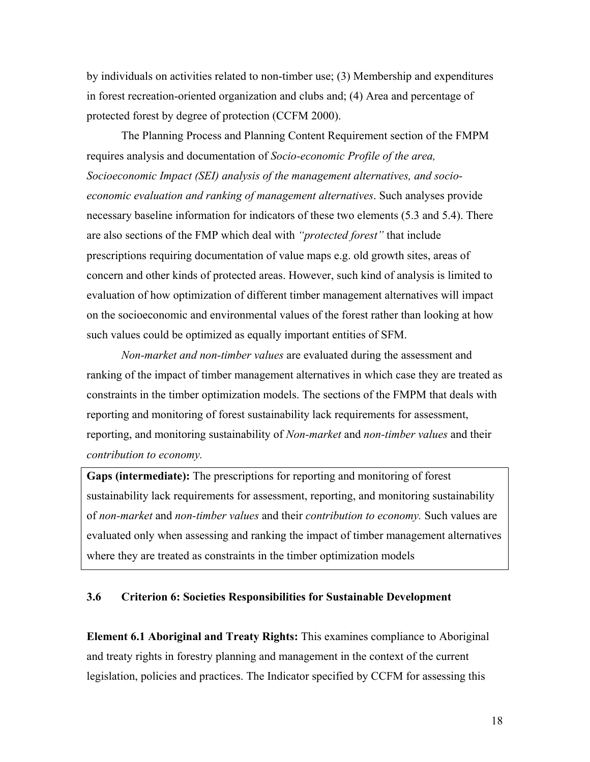by individuals on activities related to non-timber use; (3) Membership and expenditures in forest recreation-oriented organization and clubs and; (4) Area and percentage of protected forest by degree of protection (CCFM 2000).

The Planning Process and Planning Content Requirement section of the FMPM requires analysis and documentation of *Socio-economic Profile of the area, Socioeconomic Impact (SEI) analysis of the management alternatives, and socioeconomic evaluation and ranking of management alternatives*. Such analyses provide necessary baseline information for indicators of these two elements (5.3 and 5.4). There are also sections of the FMP which deal with *"protected forest"* that include prescriptions requiring documentation of value maps e.g. old growth sites, areas of concern and other kinds of protected areas. However, such kind of analysis is limited to evaluation of how optimization of different timber management alternatives will impact on the socioeconomic and environmental values of the forest rather than looking at how such values could be optimized as equally important entities of SFM.

*Non-market and non-timber values* are evaluated during the assessment and ranking of the impact of timber management alternatives in which case they are treated as constraints in the timber optimization models. The sections of the FMPM that deals with reporting and monitoring of forest sustainability lack requirements for assessment, reporting, and monitoring sustainability of *Non-market* and *non-timber values* and their *contribution to economy.*

**Gaps (intermediate):** The prescriptions for reporting and monitoring of forest sustainability lack requirements for assessment, reporting, and monitoring sustainability of *non-market* and *non-timber values* and their *contribution to economy.* Such values are evaluated only when assessing and ranking the impact of timber management alternatives where they are treated as constraints in the timber optimization models

### **3.6 Criterion 6: Societies Responsibilities for Sustainable Development**

**Element 6.1 Aboriginal and Treaty Rights:** This examines compliance to Aboriginal and treaty rights in forestry planning and management in the context of the current legislation, policies and practices. The Indicator specified by CCFM for assessing this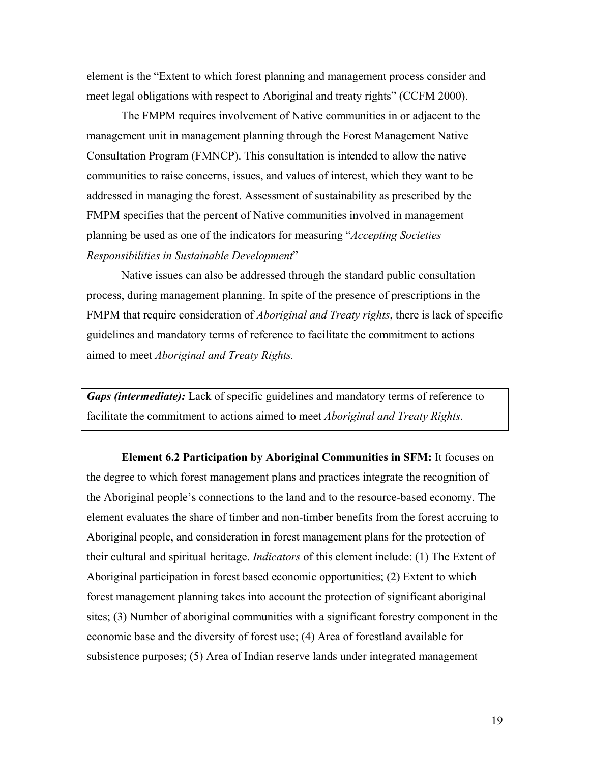element is the "Extent to which forest planning and management process consider and meet legal obligations with respect to Aboriginal and treaty rights" (CCFM 2000).

The FMPM requires involvement of Native communities in or adjacent to the management unit in management planning through the Forest Management Native Consultation Program (FMNCP). This consultation is intended to allow the native communities to raise concerns, issues, and values of interest, which they want to be addressed in managing the forest. Assessment of sustainability as prescribed by the FMPM specifies that the percent of Native communities involved in management planning be used as one of the indicators for measuring "*Accepting Societies Responsibilities in Sustainable Development*"

Native issues can also be addressed through the standard public consultation process, during management planning. In spite of the presence of prescriptions in the FMPM that require consideration of *Aboriginal and Treaty rights*, there is lack of specific guidelines and mandatory terms of reference to facilitate the commitment to actions aimed to meet *Aboriginal and Treaty Rights.* 

*Gaps (intermediate):* Lack of specific guidelines and mandatory terms of reference to facilitate the commitment to actions aimed to meet *Aboriginal and Treaty Rights*.

**Element 6.2 Participation by Aboriginal Communities in SFM:** It focuses on the degree to which forest management plans and practices integrate the recognition of the Aboriginal people's connections to the land and to the resource-based economy. The element evaluates the share of timber and non-timber benefits from the forest accruing to Aboriginal people, and consideration in forest management plans for the protection of their cultural and spiritual heritage. *Indicators* of this element include: (1) The Extent of Aboriginal participation in forest based economic opportunities; (2) Extent to which forest management planning takes into account the protection of significant aboriginal sites; (3) Number of aboriginal communities with a significant forestry component in the economic base and the diversity of forest use; (4) Area of forestland available for subsistence purposes; (5) Area of Indian reserve lands under integrated management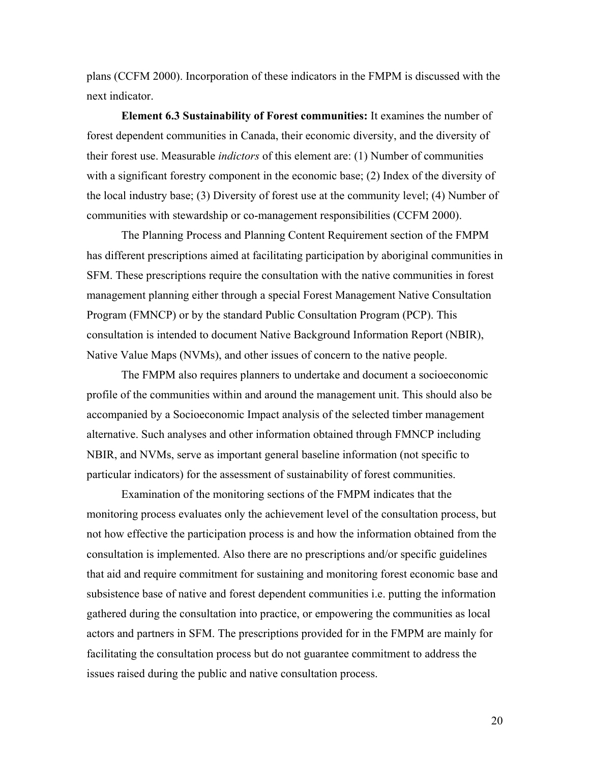plans (CCFM 2000). Incorporation of these indicators in the FMPM is discussed with the next indicator.

**Element 6.3 Sustainability of Forest communities:** It examines the number of forest dependent communities in Canada, their economic diversity, and the diversity of their forest use. Measurable *indictors* of this element are: (1) Number of communities with a significant forestry component in the economic base; (2) Index of the diversity of the local industry base; (3) Diversity of forest use at the community level; (4) Number of communities with stewardship or co-management responsibilities (CCFM 2000).

The Planning Process and Planning Content Requirement section of the FMPM has different prescriptions aimed at facilitating participation by aboriginal communities in SFM. These prescriptions require the consultation with the native communities in forest management planning either through a special Forest Management Native Consultation Program (FMNCP) or by the standard Public Consultation Program (PCP). This consultation is intended to document Native Background Information Report (NBIR), Native Value Maps (NVMs), and other issues of concern to the native people.

The FMPM also requires planners to undertake and document a socioeconomic profile of the communities within and around the management unit. This should also be accompanied by a Socioeconomic Impact analysis of the selected timber management alternative. Such analyses and other information obtained through FMNCP including NBIR, and NVMs, serve as important general baseline information (not specific to particular indicators) for the assessment of sustainability of forest communities.

Examination of the monitoring sections of the FMPM indicates that the monitoring process evaluates only the achievement level of the consultation process, but not how effective the participation process is and how the information obtained from the consultation is implemented. Also there are no prescriptions and/or specific guidelines that aid and require commitment for sustaining and monitoring forest economic base and subsistence base of native and forest dependent communities i.e. putting the information gathered during the consultation into practice, or empowering the communities as local actors and partners in SFM. The prescriptions provided for in the FMPM are mainly for facilitating the consultation process but do not guarantee commitment to address the issues raised during the public and native consultation process.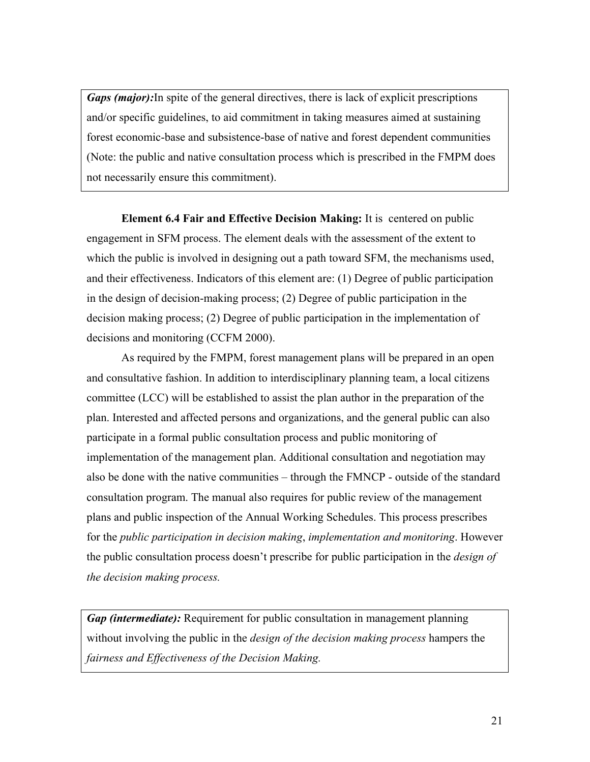*Gaps (major):*In spite of the general directives, there is lack of explicit prescriptions and/or specific guidelines, to aid commitment in taking measures aimed at sustaining forest economic-base and subsistence-base of native and forest dependent communities (Note: the public and native consultation process which is prescribed in the FMPM does not necessarily ensure this commitment).

**Element 6.4 Fair and Effective Decision Making:** It is centered on public engagement in SFM process. The element deals with the assessment of the extent to which the public is involved in designing out a path toward SFM, the mechanisms used, and their effectiveness. Indicators of this element are: (1) Degree of public participation in the design of decision-making process; (2) Degree of public participation in the decision making process; (2) Degree of public participation in the implementation of decisions and monitoring (CCFM 2000).

As required by the FMPM, forest management plans will be prepared in an open and consultative fashion. In addition to interdisciplinary planning team, a local citizens committee (LCC) will be established to assist the plan author in the preparation of the plan. Interested and affected persons and organizations, and the general public can also participate in a formal public consultation process and public monitoring of implementation of the management plan. Additional consultation and negotiation may also be done with the native communities – through the FMNCP - outside of the standard consultation program. The manual also requires for public review of the management plans and public inspection of the Annual Working Schedules. This process prescribes for the *public participation in decision making*, *implementation and monitoring*. However the public consultation process doesn't prescribe for public participation in the *design of the decision making process.* 

*Gap (intermediate):* Requirement for public consultation in management planning without involving the public in the *design of the decision making process* hampers the *fairness and Effectiveness of the Decision Making.*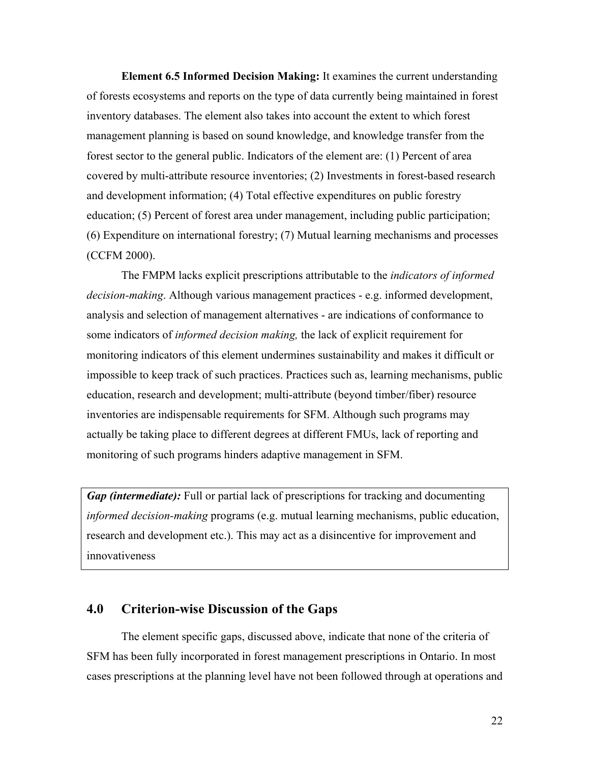**Element 6.5 Informed Decision Making:** It examines the current understanding of forests ecosystems and reports on the type of data currently being maintained in forest inventory databases. The element also takes into account the extent to which forest management planning is based on sound knowledge, and knowledge transfer from the forest sector to the general public. Indicators of the element are: (1) Percent of area covered by multi-attribute resource inventories; (2) Investments in forest-based research and development information; (4) Total effective expenditures on public forestry education; (5) Percent of forest area under management, including public participation; (6) Expenditure on international forestry; (7) Mutual learning mechanisms and processes (CCFM 2000).

The FMPM lacks explicit prescriptions attributable to the *indicators of informed decision-making*. Although various management practices - e.g. informed development, analysis and selection of management alternatives - are indications of conformance to some indicators of *informed decision making,* the lack of explicit requirement for monitoring indicators of this element undermines sustainability and makes it difficult or impossible to keep track of such practices. Practices such as, learning mechanisms, public education, research and development; multi-attribute (beyond timber/fiber) resource inventories are indispensable requirements for SFM. Although such programs may actually be taking place to different degrees at different FMUs, lack of reporting and monitoring of such programs hinders adaptive management in SFM.

*Gap (intermediate):* Full or partial lack of prescriptions for tracking and documenting *informed decision-making* programs (e.g. mutual learning mechanisms, public education, research and development etc.). This may act as a disincentive for improvement and innovativeness

# **4.0 Criterion-wise Discussion of the Gaps**

The element specific gaps, discussed above, indicate that none of the criteria of SFM has been fully incorporated in forest management prescriptions in Ontario. In most cases prescriptions at the planning level have not been followed through at operations and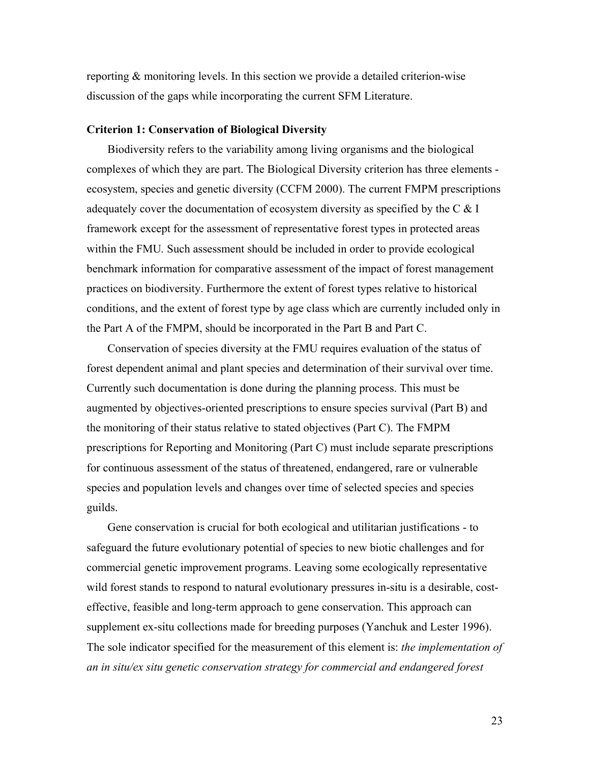reporting & monitoring levels. In this section we provide a detailed criterion-wise discussion of the gaps while incorporating the current SFM Literature.

#### **Criterion 1: Conservation of Biological Diversity**

Biodiversity refers to the variability among living organisms and the biological complexes of which they are part. The Biological Diversity criterion has three elements ecosystem, species and genetic diversity (CCFM 2000). The current FMPM prescriptions adequately cover the documentation of ecosystem diversity as specified by the  $C \& I$ framework except for the assessment of representative forest types in protected areas within the FMU*.* Such assessment should be included in order to provide ecological benchmark information for comparative assessment of the impact of forest management practices on biodiversity. Furthermore the extent of forest types relative to historical conditions, and the extent of forest type by age class which are currently included only in the Part A of the FMPM, should be incorporated in the Part B and Part C.

Conservation of species diversity at the FMU requires evaluation of the status of forest dependent animal and plant species and determination of their survival over time. Currently such documentation is done during the planning process. This must be augmented by objectives-oriented prescriptions to ensure species survival (Part B) and the monitoring of their status relative to stated objectives (Part C). The FMPM prescriptions for Reporting and Monitoring (Part C) must include separate prescriptions for continuous assessment of the status of threatened, endangered, rare or vulnerable species and population levels and changes over time of selected species and species guilds.

Gene conservation is crucial for both ecological and utilitarian justifications - to safeguard the future evolutionary potential of species to new biotic challenges and for commercial genetic improvement programs. Leaving some ecologically representative wild forest stands to respond to natural evolutionary pressures in-situ is a desirable, costeffective, feasible and long-term approach to gene conservation. This approach can supplement ex-situ collections made for breeding purposes (Yanchuk and Lester 1996). The sole indicator specified for the measurement of this element is: *the implementation of an in situ/ex situ genetic conservation strategy for commercial and endangered forest*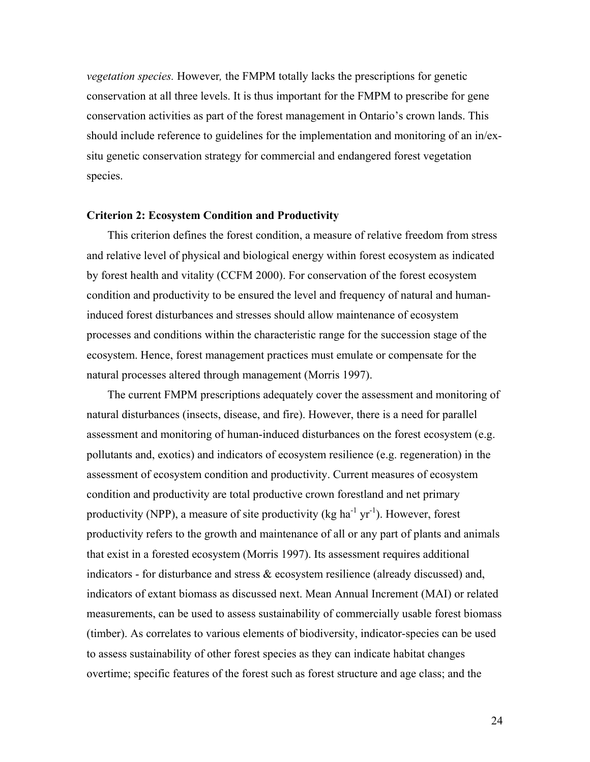*vegetation species.* However*,* the FMPM totally lacks the prescriptions for genetic conservation at all three levels. It is thus important for the FMPM to prescribe for gene conservation activities as part of the forest management in Ontario's crown lands. This should include reference to guidelines for the implementation and monitoring of an in/exsitu genetic conservation strategy for commercial and endangered forest vegetation species.

#### **Criterion 2: Ecosystem Condition and Productivity**

This criterion defines the forest condition, a measure of relative freedom from stress and relative level of physical and biological energy within forest ecosystem as indicated by forest health and vitality (CCFM 2000). For conservation of the forest ecosystem condition and productivity to be ensured the level and frequency of natural and humaninduced forest disturbances and stresses should allow maintenance of ecosystem processes and conditions within the characteristic range for the succession stage of the ecosystem. Hence, forest management practices must emulate or compensate for the natural processes altered through management (Morris 1997).

The current FMPM prescriptions adequately cover the assessment and monitoring of natural disturbances (insects, disease, and fire). However, there is a need for parallel assessment and monitoring of human-induced disturbances on the forest ecosystem (e.g. pollutants and, exotics) and indicators of ecosystem resilience (e.g. regeneration) in the assessment of ecosystem condition and productivity. Current measures of ecosystem condition and productivity are total productive crown forestland and net primary productivity (NPP), a measure of site productivity (kg ha<sup>-1</sup> yr<sup>-1</sup>). However, forest productivity refers to the growth and maintenance of all or any part of plants and animals that exist in a forested ecosystem (Morris 1997). Its assessment requires additional indicators - for disturbance and stress & ecosystem resilience (already discussed) and, indicators of extant biomass as discussed next. Mean Annual Increment (MAI) or related measurements, can be used to assess sustainability of commercially usable forest biomass (timber). As correlates to various elements of biodiversity, indicator-species can be used to assess sustainability of other forest species as they can indicate habitat changes overtime; specific features of the forest such as forest structure and age class; and the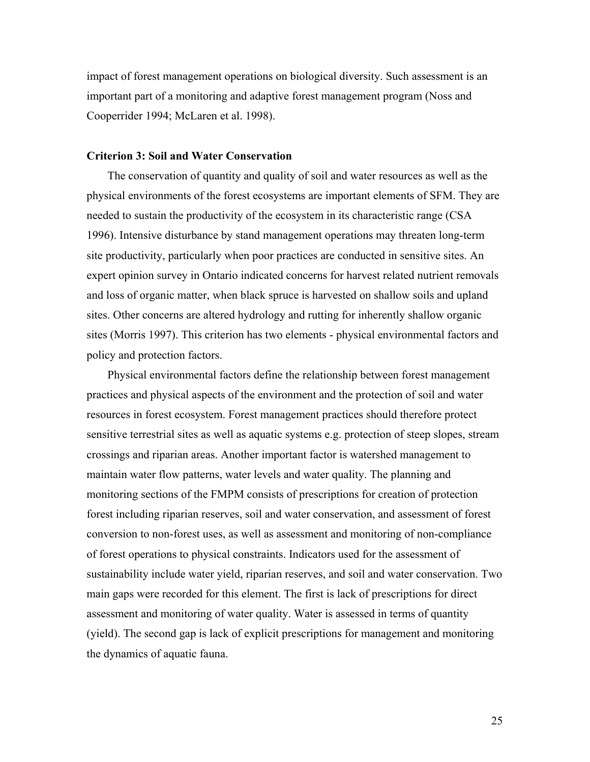impact of forest management operations on biological diversity. Such assessment is an important part of a monitoring and adaptive forest management program (Noss and Cooperrider 1994; McLaren et al. 1998).

#### **Criterion 3: Soil and Water Conservation**

The conservation of quantity and quality of soil and water resources as well as the physical environments of the forest ecosystems are important elements of SFM. They are needed to sustain the productivity of the ecosystem in its characteristic range (CSA 1996). Intensive disturbance by stand management operations may threaten long-term site productivity, particularly when poor practices are conducted in sensitive sites. An expert opinion survey in Ontario indicated concerns for harvest related nutrient removals and loss of organic matter, when black spruce is harvested on shallow soils and upland sites. Other concerns are altered hydrology and rutting for inherently shallow organic sites (Morris 1997). This criterion has two elements - physical environmental factors and policy and protection factors.

Physical environmental factors define the relationship between forest management practices and physical aspects of the environment and the protection of soil and water resources in forest ecosystem. Forest management practices should therefore protect sensitive terrestrial sites as well as aquatic systems e.g. protection of steep slopes, stream crossings and riparian areas. Another important factor is watershed management to maintain water flow patterns, water levels and water quality. The planning and monitoring sections of the FMPM consists of prescriptions for creation of protection forest including riparian reserves, soil and water conservation, and assessment of forest conversion to non-forest uses, as well as assessment and monitoring of non-compliance of forest operations to physical constraints. Indicators used for the assessment of sustainability include water yield, riparian reserves, and soil and water conservation. Two main gaps were recorded for this element. The first is lack of prescriptions for direct assessment and monitoring of water quality. Water is assessed in terms of quantity (yield). The second gap is lack of explicit prescriptions for management and monitoring the dynamics of aquatic fauna.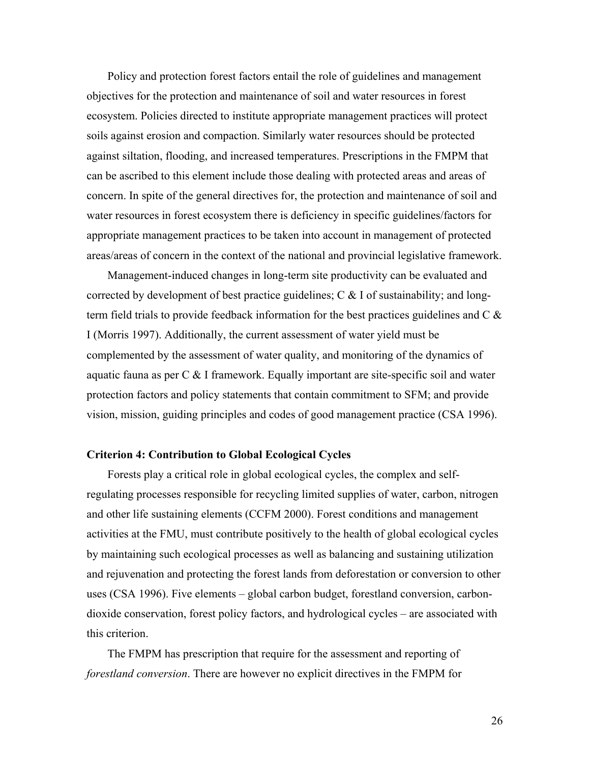Policy and protection forest factors entail the role of guidelines and management objectives for the protection and maintenance of soil and water resources in forest ecosystem. Policies directed to institute appropriate management practices will protect soils against erosion and compaction. Similarly water resources should be protected against siltation, flooding, and increased temperatures. Prescriptions in the FMPM that can be ascribed to this element include those dealing with protected areas and areas of concern. In spite of the general directives for, the protection and maintenance of soil and water resources in forest ecosystem there is deficiency in specific guidelines/factors for appropriate management practices to be taken into account in management of protected areas/areas of concern in the context of the national and provincial legislative framework.

Management-induced changes in long-term site productivity can be evaluated and corrected by development of best practice guidelines;  $C \& 1$  of sustainability; and longterm field trials to provide feedback information for the best practices guidelines and C & I (Morris 1997). Additionally, the current assessment of water yield must be complemented by the assessment of water quality, and monitoring of the dynamics of aquatic fauna as per  $C \& B$  I framework. Equally important are site-specific soil and water protection factors and policy statements that contain commitment to SFM; and provide vision, mission, guiding principles and codes of good management practice (CSA 1996).

### **Criterion 4: Contribution to Global Ecological Cycles**

Forests play a critical role in global ecological cycles, the complex and selfregulating processes responsible for recycling limited supplies of water, carbon, nitrogen and other life sustaining elements (CCFM 2000). Forest conditions and management activities at the FMU, must contribute positively to the health of global ecological cycles by maintaining such ecological processes as well as balancing and sustaining utilization and rejuvenation and protecting the forest lands from deforestation or conversion to other uses (CSA 1996). Five elements – global carbon budget, forestland conversion, carbondioxide conservation, forest policy factors, and hydrological cycles – are associated with this criterion.

The FMPM has prescription that require for the assessment and reporting of *forestland conversion*. There are however no explicit directives in the FMPM for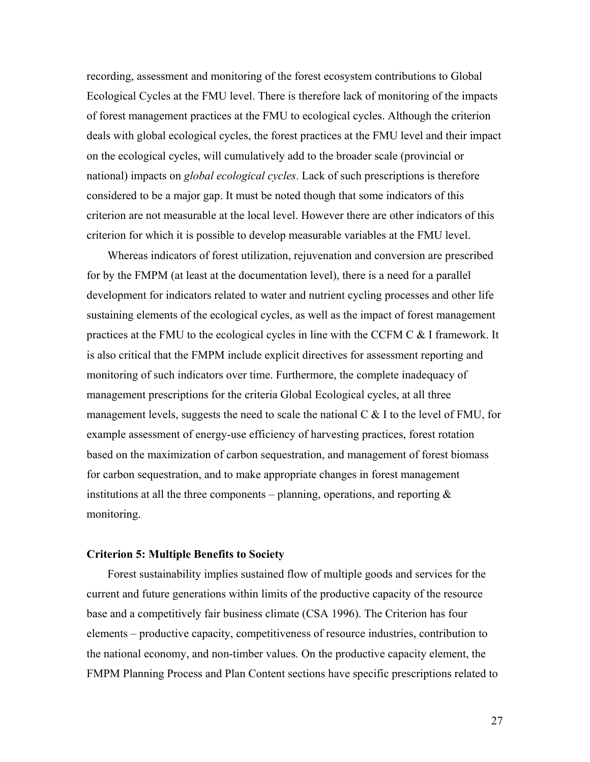recording, assessment and monitoring of the forest ecosystem contributions to Global Ecological Cycles at the FMU level. There is therefore lack of monitoring of the impacts of forest management practices at the FMU to ecological cycles. Although the criterion deals with global ecological cycles, the forest practices at the FMU level and their impact on the ecological cycles, will cumulatively add to the broader scale (provincial or national) impacts on *global ecological cycles*. Lack of such prescriptions is therefore considered to be a major gap. It must be noted though that some indicators of this criterion are not measurable at the local level. However there are other indicators of this criterion for which it is possible to develop measurable variables at the FMU level.

Whereas indicators of forest utilization, rejuvenation and conversion are prescribed for by the FMPM (at least at the documentation level), there is a need for a parallel development for indicators related to water and nutrient cycling processes and other life sustaining elements of the ecological cycles, as well as the impact of forest management practices at the FMU to the ecological cycles in line with the CCFM C & I framework. It is also critical that the FMPM include explicit directives for assessment reporting and monitoring of such indicators over time. Furthermore, the complete inadequacy of management prescriptions for the criteria Global Ecological cycles, at all three management levels, suggests the need to scale the national  $C \&$  I to the level of FMU, for example assessment of energy-use efficiency of harvesting practices, forest rotation based on the maximization of carbon sequestration, and management of forest biomass for carbon sequestration, and to make appropriate changes in forest management institutions at all the three components – planning, operations, and reporting  $\&$ monitoring.

#### **Criterion 5: Multiple Benefits to Society**

Forest sustainability implies sustained flow of multiple goods and services for the current and future generations within limits of the productive capacity of the resource base and a competitively fair business climate (CSA 1996). The Criterion has four elements – productive capacity, competitiveness of resource industries, contribution to the national economy, and non-timber values. On the productive capacity element, the FMPM Planning Process and Plan Content sections have specific prescriptions related to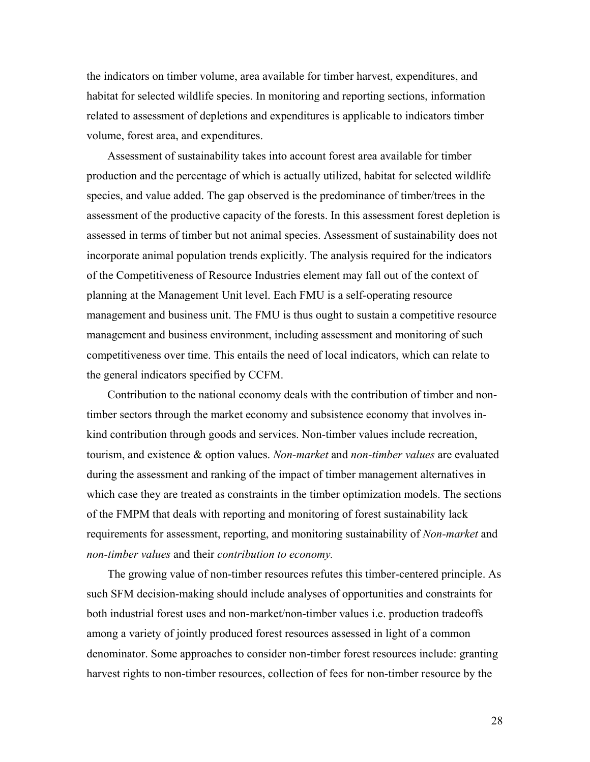the indicators on timber volume, area available for timber harvest, expenditures, and habitat for selected wildlife species. In monitoring and reporting sections, information related to assessment of depletions and expenditures is applicable to indicators timber volume, forest area, and expenditures.

Assessment of sustainability takes into account forest area available for timber production and the percentage of which is actually utilized, habitat for selected wildlife species, and value added. The gap observed is the predominance of timber/trees in the assessment of the productive capacity of the forests. In this assessment forest depletion is assessed in terms of timber but not animal species. Assessment of sustainability does not incorporate animal population trends explicitly. The analysis required for the indicators of the Competitiveness of Resource Industries element may fall out of the context of planning at the Management Unit level. Each FMU is a self-operating resource management and business unit. The FMU is thus ought to sustain a competitive resource management and business environment, including assessment and monitoring of such competitiveness over time. This entails the need of local indicators, which can relate to the general indicators specified by CCFM.

Contribution to the national economy deals with the contribution of timber and nontimber sectors through the market economy and subsistence economy that involves inkind contribution through goods and services. Non-timber values include recreation, tourism, and existence & option values. *Non-market* and *non-timber values* are evaluated during the assessment and ranking of the impact of timber management alternatives in which case they are treated as constraints in the timber optimization models. The sections of the FMPM that deals with reporting and monitoring of forest sustainability lack requirements for assessment, reporting, and monitoring sustainability of *Non-market* and *non-timber values* and their *contribution to economy.*

The growing value of non-timber resources refutes this timber-centered principle. As such SFM decision-making should include analyses of opportunities and constraints for both industrial forest uses and non-market/non-timber values i.e. production tradeoffs among a variety of jointly produced forest resources assessed in light of a common denominator. Some approaches to consider non-timber forest resources include: granting harvest rights to non-timber resources, collection of fees for non-timber resource by the

28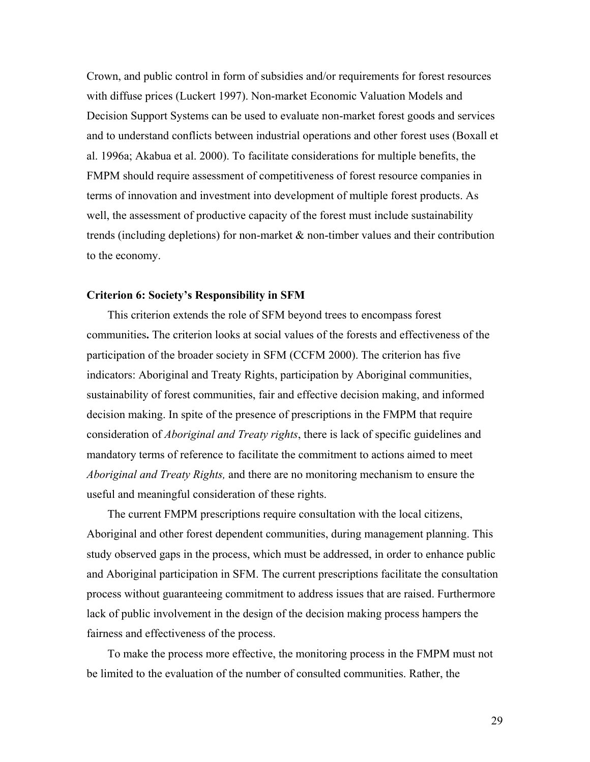Crown, and public control in form of subsidies and/or requirements for forest resources with diffuse prices (Luckert 1997). Non-market Economic Valuation Models and Decision Support Systems can be used to evaluate non-market forest goods and services and to understand conflicts between industrial operations and other forest uses (Boxall et al. 1996a; Akabua et al. 2000). To facilitate considerations for multiple benefits, the FMPM should require assessment of competitiveness of forest resource companies in terms of innovation and investment into development of multiple forest products. As well, the assessment of productive capacity of the forest must include sustainability trends (including depletions) for non-market & non-timber values and their contribution to the economy.

#### **Criterion 6: Society's Responsibility in SFM**

This criterion extends the role of SFM beyond trees to encompass forest communities**.** The criterion looks at social values of the forests and effectiveness of the participation of the broader society in SFM (CCFM 2000). The criterion has five indicators: Aboriginal and Treaty Rights, participation by Aboriginal communities, sustainability of forest communities, fair and effective decision making, and informed decision making. In spite of the presence of prescriptions in the FMPM that require consideration of *Aboriginal and Treaty rights*, there is lack of specific guidelines and mandatory terms of reference to facilitate the commitment to actions aimed to meet *Aboriginal and Treaty Rights,* and there are no monitoring mechanism to ensure the useful and meaningful consideration of these rights.

The current FMPM prescriptions require consultation with the local citizens, Aboriginal and other forest dependent communities, during management planning. This study observed gaps in the process, which must be addressed, in order to enhance public and Aboriginal participation in SFM. The current prescriptions facilitate the consultation process without guaranteeing commitment to address issues that are raised. Furthermore lack of public involvement in the design of the decision making process hampers the fairness and effectiveness of the process.

To make the process more effective, the monitoring process in the FMPM must not be limited to the evaluation of the number of consulted communities. Rather, the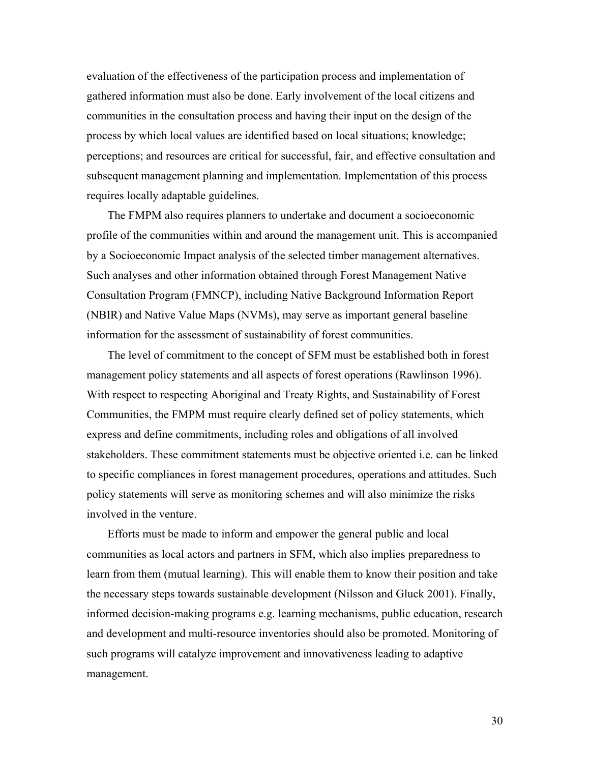evaluation of the effectiveness of the participation process and implementation of gathered information must also be done. Early involvement of the local citizens and communities in the consultation process and having their input on the design of the process by which local values are identified based on local situations; knowledge; perceptions; and resources are critical for successful, fair, and effective consultation and subsequent management planning and implementation. Implementation of this process requires locally adaptable guidelines.

The FMPM also requires planners to undertake and document a socioeconomic profile of the communities within and around the management unit. This is accompanied by a Socioeconomic Impact analysis of the selected timber management alternatives. Such analyses and other information obtained through Forest Management Native Consultation Program (FMNCP), including Native Background Information Report (NBIR) and Native Value Maps (NVMs), may serve as important general baseline information for the assessment of sustainability of forest communities.

The level of commitment to the concept of SFM must be established both in forest management policy statements and all aspects of forest operations (Rawlinson 1996). With respect to respecting Aboriginal and Treaty Rights, and Sustainability of Forest Communities, the FMPM must require clearly defined set of policy statements, which express and define commitments, including roles and obligations of all involved stakeholders. These commitment statements must be objective oriented i.e. can be linked to specific compliances in forest management procedures, operations and attitudes. Such policy statements will serve as monitoring schemes and will also minimize the risks involved in the venture.

Efforts must be made to inform and empower the general public and local communities as local actors and partners in SFM, which also implies preparedness to learn from them (mutual learning). This will enable them to know their position and take the necessary steps towards sustainable development (Nilsson and Gluck 2001). Finally, informed decision-making programs e.g. learning mechanisms, public education, research and development and multi-resource inventories should also be promoted. Monitoring of such programs will catalyze improvement and innovativeness leading to adaptive management.

30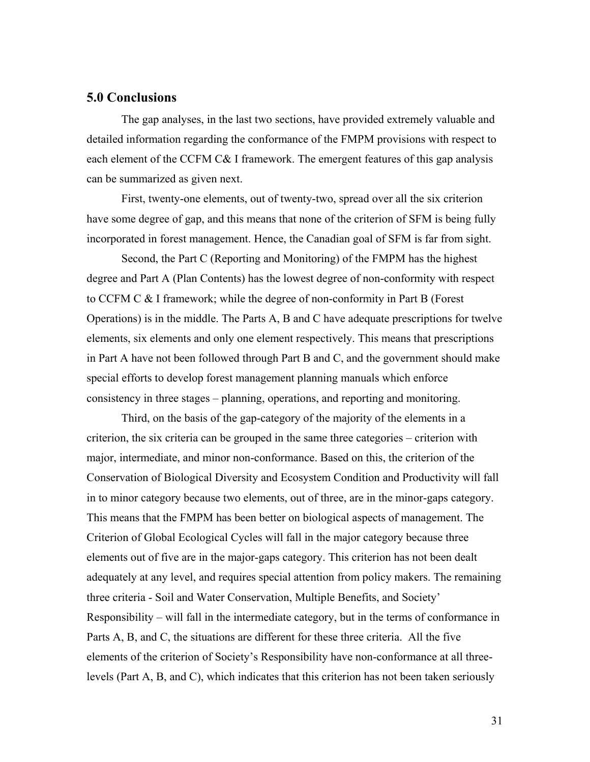# **5.0 Conclusions**

The gap analyses, in the last two sections, have provided extremely valuable and detailed information regarding the conformance of the FMPM provisions with respect to each element of the CCFM C& I framework. The emergent features of this gap analysis can be summarized as given next.

First, twenty-one elements, out of twenty-two, spread over all the six criterion have some degree of gap, and this means that none of the criterion of SFM is being fully incorporated in forest management. Hence, the Canadian goal of SFM is far from sight.

Second, the Part C (Reporting and Monitoring) of the FMPM has the highest degree and Part A (Plan Contents) has the lowest degree of non-conformity with respect to CCFM C & I framework; while the degree of non-conformity in Part B (Forest Operations) is in the middle. The Parts A, B and C have adequate prescriptions for twelve elements, six elements and only one element respectively. This means that prescriptions in Part A have not been followed through Part B and C, and the government should make special efforts to develop forest management planning manuals which enforce consistency in three stages – planning, operations, and reporting and monitoring.

Third, on the basis of the gap-category of the majority of the elements in a criterion, the six criteria can be grouped in the same three categories – criterion with major, intermediate, and minor non-conformance. Based on this, the criterion of the Conservation of Biological Diversity and Ecosystem Condition and Productivity will fall in to minor category because two elements, out of three, are in the minor-gaps category. This means that the FMPM has been better on biological aspects of management. The Criterion of Global Ecological Cycles will fall in the major category because three elements out of five are in the major-gaps category. This criterion has not been dealt adequately at any level, and requires special attention from policy makers. The remaining three criteria - Soil and Water Conservation, Multiple Benefits, and Society' Responsibility – will fall in the intermediate category, but in the terms of conformance in Parts A, B, and C, the situations are different for these three criteria. All the five elements of the criterion of Society's Responsibility have non-conformance at all threelevels (Part A, B, and C), which indicates that this criterion has not been taken seriously

31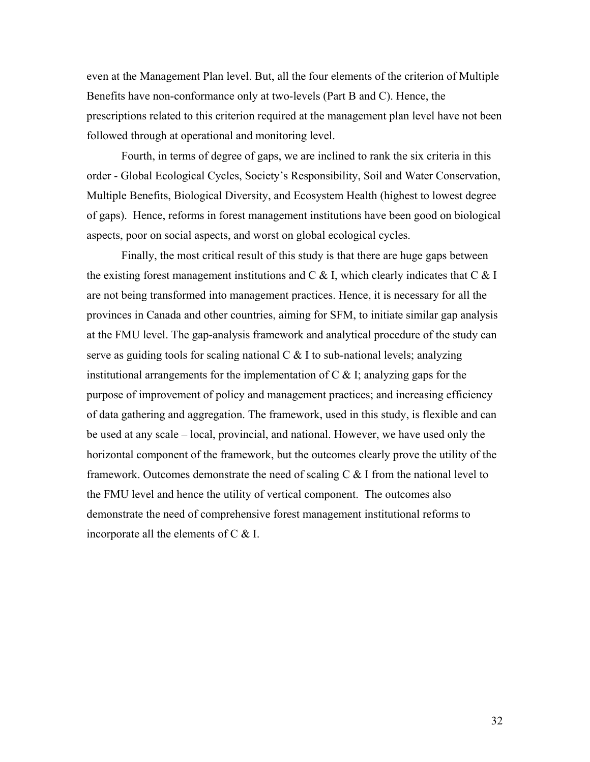even at the Management Plan level. But, all the four elements of the criterion of Multiple Benefits have non-conformance only at two-levels (Part B and C). Hence, the prescriptions related to this criterion required at the management plan level have not been followed through at operational and monitoring level.

Fourth, in terms of degree of gaps, we are inclined to rank the six criteria in this order - Global Ecological Cycles, Society's Responsibility, Soil and Water Conservation, Multiple Benefits, Biological Diversity, and Ecosystem Health (highest to lowest degree of gaps). Hence, reforms in forest management institutions have been good on biological aspects, poor on social aspects, and worst on global ecological cycles.

Finally, the most critical result of this study is that there are huge gaps between the existing forest management institutions and  $C \& B$ . Which clearly indicates that  $C \& B$ are not being transformed into management practices. Hence, it is necessary for all the provinces in Canada and other countries, aiming for SFM, to initiate similar gap analysis at the FMU level. The gap-analysis framework and analytical procedure of the study can serve as guiding tools for scaling national  $C \& 1$  to sub-national levels; analyzing institutional arrangements for the implementation of  $C \&$  I; analyzing gaps for the purpose of improvement of policy and management practices; and increasing efficiency of data gathering and aggregation. The framework, used in this study, is flexible and can be used at any scale – local, provincial, and national. However, we have used only the horizontal component of the framework, but the outcomes clearly prove the utility of the framework. Outcomes demonstrate the need of scaling  $C \& B$  I from the national level to the FMU level and hence the utility of vertical component. The outcomes also demonstrate the need of comprehensive forest management institutional reforms to incorporate all the elements of C & I.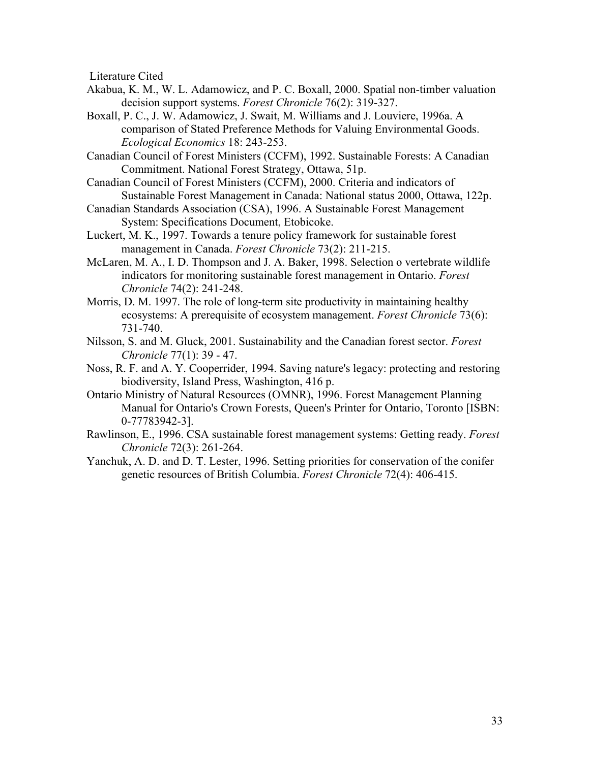Literature Cited

- Akabua, K. M., W. L. Adamowicz, and P. C. Boxall, 2000. Spatial non-timber valuation decision support systems. *Forest Chronicle* 76(2): 319-327.
- Boxall, P. C., J. W. Adamowicz, J. Swait, M. Williams and J. Louviere, 1996a. A comparison of Stated Preference Methods for Valuing Environmental Goods. *Ecological Economics* 18: 243-253.
- Canadian Council of Forest Ministers (CCFM), 1992. Sustainable Forests: A Canadian Commitment. National Forest Strategy, Ottawa, 51p.
- Canadian Council of Forest Ministers (CCFM), 2000. Criteria and indicators of Sustainable Forest Management in Canada: National status 2000, Ottawa, 122p.
- Canadian Standards Association (CSA), 1996. A Sustainable Forest Management System: Specifications Document, Etobicoke.
- Luckert, M. K., 1997. Towards a tenure policy framework for sustainable forest management in Canada. *Forest Chronicle* 73(2): 211-215.
- McLaren, M. A., I. D. Thompson and J. A. Baker, 1998. Selection o vertebrate wildlife indicators for monitoring sustainable forest management in Ontario. *Forest Chronicle* 74(2): 241-248.
- Morris, D. M. 1997. The role of long-term site productivity in maintaining healthy ecosystems: A prerequisite of ecosystem management. *Forest Chronicle* 73(6): 731-740.
- Nilsson, S. and M. Gluck, 2001. Sustainability and the Canadian forest sector. *Forest Chronicle* 77(1): 39 - 47.
- Noss, R. F. and A. Y. Cooperrider, 1994. Saving nature's legacy: protecting and restoring biodiversity, Island Press, Washington, 416 p.
- Ontario Ministry of Natural Resources (OMNR), 1996. Forest Management Planning Manual for Ontario's Crown Forests, Queen's Printer for Ontario, Toronto [ISBN: 0-77783942-3].
- Rawlinson, E., 1996. CSA sustainable forest management systems: Getting ready. *Forest Chronicle* 72(3): 261-264.
- Yanchuk, A. D. and D. T. Lester, 1996. Setting priorities for conservation of the conifer genetic resources of British Columbia. *Forest Chronicle* 72(4): 406-415.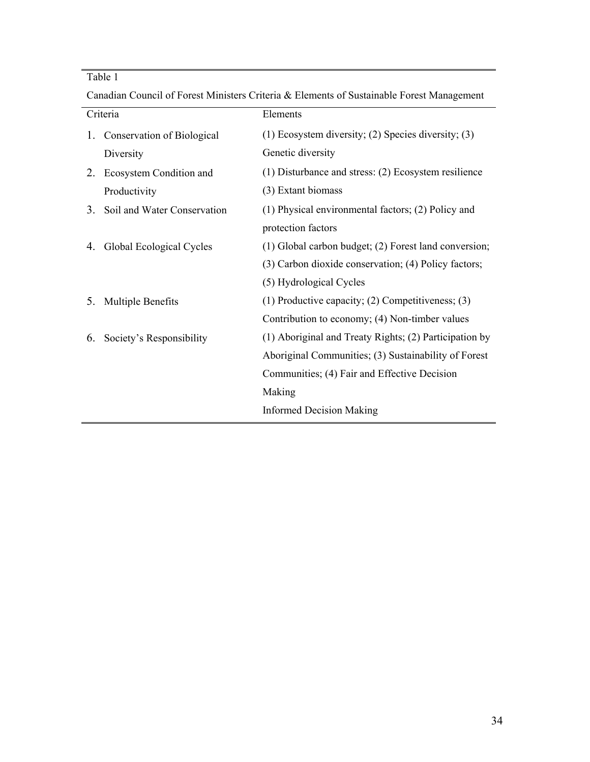# Table 1

|    | Criteria                    | Elements                                                  |
|----|-----------------------------|-----------------------------------------------------------|
| 1. | Conservation of Biological  | $(1)$ Ecosystem diversity; $(2)$ Species diversity; $(3)$ |
|    | Diversity                   | Genetic diversity                                         |
| 2. | Ecosystem Condition and     | $(1)$ Disturbance and stress: $(2)$ Ecosystem resilience  |
|    | Productivity                | (3) Extant biomass                                        |
| 3. | Soil and Water Conservation | (1) Physical environmental factors; (2) Policy and        |
|    |                             | protection factors                                        |
| 4. | Global Ecological Cycles    | (1) Global carbon budget; (2) Forest land conversion;     |
|    |                             | (3) Carbon dioxide conservation; (4) Policy factors;      |
|    |                             | (5) Hydrological Cycles                                   |
| 5. | <b>Multiple Benefits</b>    | (1) Productive capacity; $(2)$ Competitiveness; $(3)$     |
|    |                             | Contribution to economy; (4) Non-timber values            |
| 6. | Society's Responsibility    | (1) Aboriginal and Treaty Rights; (2) Participation by    |
|    |                             | Aboriginal Communities; (3) Sustainability of Forest      |
|    |                             | Communities; (4) Fair and Effective Decision              |
|    |                             | Making                                                    |
|    |                             | <b>Informed Decision Making</b>                           |

Canadian Council of Forest Ministers Criteria & Elements of Sustainable Forest Management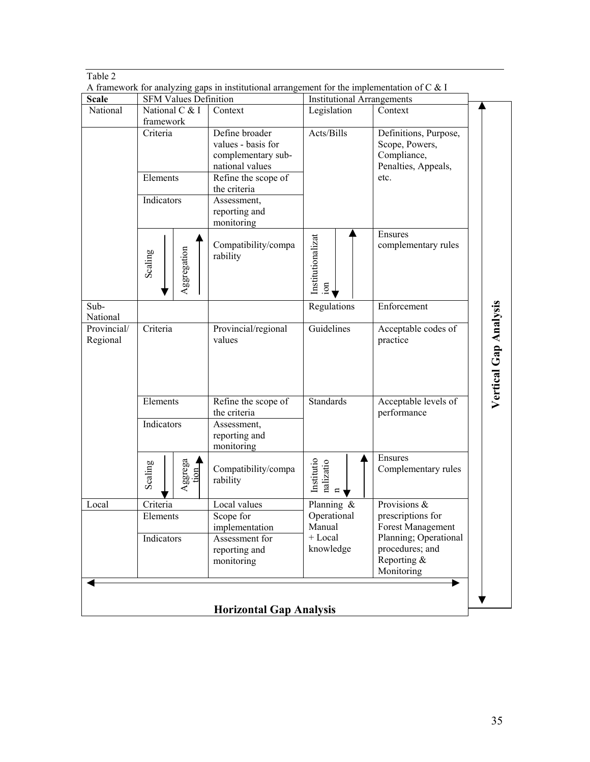| 1. |
|----|
|----|

 $\frac{1}{\Lambda}$  fr A framework for analyzing gaps in institutional arrangement for the implementation of  $C \& 1$ 

| <b>Scale</b>                                    | A tramework for analyzing gaps in institutional arrangement for the implementation of $\infty$ is<br><b>SFM Values Definition</b> |                                                                                                                                                                    | <b>Institutional Arrangements</b>          |                                                                                       |                                                                                                                 |                       |
|-------------------------------------------------|-----------------------------------------------------------------------------------------------------------------------------------|--------------------------------------------------------------------------------------------------------------------------------------------------------------------|--------------------------------------------|---------------------------------------------------------------------------------------|-----------------------------------------------------------------------------------------------------------------|-----------------------|
| National                                        | National C & I                                                                                                                    |                                                                                                                                                                    | Context                                    | Legislation                                                                           | Context                                                                                                         |                       |
| framework<br>Criteria<br>Elements<br>Indicators |                                                                                                                                   | Define broader<br>values - basis for<br>complementary sub-<br>national values<br>Refine the scope of<br>the criteria<br>Assessment,<br>reporting and<br>monitoring | Acts/Bills                                 | Definitions, Purpose,<br>Scope, Powers,<br>Compliance,<br>Penalties, Appeals,<br>etc. |                                                                                                                 |                       |
|                                                 | Scaling                                                                                                                           | Aggregation                                                                                                                                                        | Compatibility/compa<br>rability            | Institutionalizat<br>$\overline{5}$                                                   | Ensures<br>complementary rules                                                                                  |                       |
| Sub-<br>National                                |                                                                                                                                   |                                                                                                                                                                    |                                            | Regulations                                                                           | Enforcement                                                                                                     |                       |
| Provincial/<br>Regional                         | Criteria                                                                                                                          |                                                                                                                                                                    | Provincial/regional<br>values              | Guidelines                                                                            | Acceptable codes of<br>practice                                                                                 | Vertical Gap Analysis |
|                                                 | Elements                                                                                                                          |                                                                                                                                                                    | Refine the scope of<br>the criteria        | <b>Standards</b>                                                                      | Acceptable levels of<br>performance                                                                             |                       |
|                                                 | Indicators                                                                                                                        |                                                                                                                                                                    | Assessment,<br>reporting and<br>monitoring |                                                                                       |                                                                                                                 |                       |
|                                                 | Scaling                                                                                                                           | Aggrega<br>$\frac{\text{tion}}{\text{1}}$                                                                                                                          | Compatibility/compa<br>rability            | Institutio<br>nalizatio                                                               | Ensures<br>Complementary rules                                                                                  |                       |
| Local                                           | Criteria                                                                                                                          |                                                                                                                                                                    | Local values                               | Planning &                                                                            | Provisions $\&$                                                                                                 |                       |
|                                                 | Elements<br>Scope for<br>implementation<br>Assessment for<br>Indicators<br>reporting and<br>monitoring                            |                                                                                                                                                                    |                                            | Operational<br>Manual<br>+ Local<br>knowledge                                         | prescriptions for<br>Forest Management<br>Planning; Operational<br>procedures; and<br>Reporting &<br>Monitoring |                       |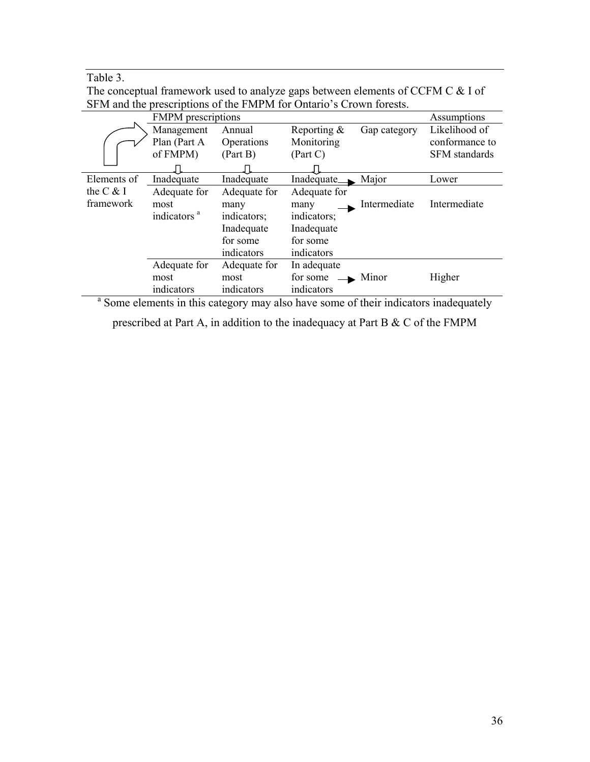Table 3.

The conceptual framework used to analyze gaps between elements of CCFM C & I of SFM and the prescriptions of the FMPM for Ontario's Crown forests.

|             | <b>FMPM</b> prescriptions | Assumptions              |                   |              |                      |
|-------------|---------------------------|--------------------------|-------------------|--------------|----------------------|
|             | Management                | Annual                   | Reporting &       | Gap category | Likelihood of        |
|             | Plan (Part A              | Operations               | Monitoring        |              | conformance to       |
|             | of FMPM)                  | (Part B)                 | (Part C)          |              | <b>SFM</b> standards |
|             |                           |                          |                   |              |                      |
| Elements of | Inadequate                | Inadequate               | Inadequate.       | Major        | Lower                |
| the $C & I$ | Adequate for              | Adequate for             | Adequate for      |              |                      |
| framework   | most                      | many                     | many              | Intermediate | Intermediate         |
|             | indicators <sup>a</sup>   | indicators;              | indicators;       |              |                      |
|             |                           | Inadequate<br>Inadequate |                   |              |                      |
|             |                           | for some                 | for some          |              |                      |
|             |                           | indicators               | indicators        |              |                      |
|             | Adequate for              | Adequate for             | In adequate       |              |                      |
|             | most                      | most                     | for some<br>Minor |              | Higher               |
|             | indicators                | indicators               | indicators        |              |                      |

<sup>a</sup> Some elements in this category may also have some of their indicators inadequately

prescribed at Part A, in addition to the inadequacy at Part B & C of the FMPM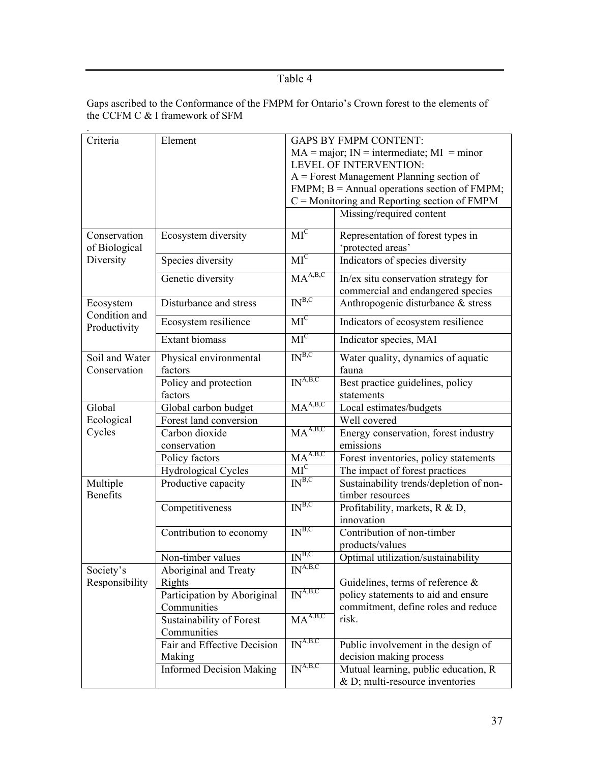Table 4

Gaps ascribed to the Conformance of the FMPM for Ontario's Crown forest to the elements of the CCFM C & I framework of SFM

| Criteria                      | Element                         | <b>GAPS BY FMPM CONTENT:</b>                      |                                                      |  |
|-------------------------------|---------------------------------|---------------------------------------------------|------------------------------------------------------|--|
|                               |                                 | $MA = major$ ; $IN = intermediate$ ; $MI = minor$ |                                                      |  |
|                               |                                 | <b>LEVEL OF INTERVENTION:</b>                     |                                                      |  |
|                               |                                 |                                                   | $A =$ Forest Management Planning section of          |  |
|                               |                                 |                                                   | $FMPM$ ; $B =$ Annual operations section of $FMPM$ ; |  |
|                               |                                 | $C =$ Monitoring and Reporting section of FMPM    |                                                      |  |
|                               |                                 |                                                   | Missing/required content                             |  |
|                               |                                 |                                                   |                                                      |  |
| Conservation                  | Ecosystem diversity             | $MI^C$                                            | Representation of forest types in                    |  |
| of Biological                 |                                 |                                                   | 'protected areas'                                    |  |
| Diversity                     | Species diversity               | $MI^C$                                            | Indicators of species diversity                      |  |
|                               | Genetic diversity               | MA <sup>A,B,C</sup>                               | In/ex situ conservation strategy for                 |  |
|                               |                                 |                                                   | commercial and endangered species                    |  |
| Ecosystem                     | Disturbance and stress          | IN <sup>B,C</sup>                                 | Anthropogenic disturbance & stress                   |  |
| Condition and<br>Productivity | Ecosystem resilience            | $\overline{MI}^C$                                 | Indicators of ecosystem resilience                   |  |
|                               | <b>Extant biomass</b>           | $MI^C$                                            | Indicator species, MAI                               |  |
| Soil and Water                | Physical environmental          | IN <sup>B,C</sup>                                 | Water quality, dynamics of aquatic                   |  |
| Conservation                  | factors                         |                                                   | fauna                                                |  |
|                               | Policy and protection           | IN <sup>A,B,C</sup>                               | Best practice guidelines, policy                     |  |
|                               | factors                         |                                                   | statements                                           |  |
| Global                        | Global carbon budget            | MA <sup>A,B,C</sup>                               | Local estimates/budgets                              |  |
| Ecological                    | Forest land conversion          |                                                   | Well covered                                         |  |
| Cycles                        | Carbon dioxide                  | $\overline{MA}^{A,B,C}$                           |                                                      |  |
|                               |                                 |                                                   | Energy conservation, forest industry                 |  |
|                               | conservation                    |                                                   | emissions                                            |  |
|                               | Policy factors                  | $\overline{\mathrm{MA}}^{\mathrm{A,B,C}}$         | Forest inventories, policy statements                |  |
|                               | <b>Hydrological Cycles</b>      | $MI^C$                                            | The impact of forest practices                       |  |
| Multiple                      | Productive capacity             | IN <sup>B,C</sup>                                 | Sustainability trends/depletion of non-              |  |
| <b>Benefits</b>               |                                 |                                                   | timber resources                                     |  |
|                               | Competitiveness                 | IN <sup>B,C</sup>                                 | Profitability, markets, R & D,                       |  |
|                               |                                 |                                                   | innovation                                           |  |
|                               | Contribution to economy         | IN <sup>B,C</sup>                                 | Contribution of non-timber                           |  |
|                               |                                 |                                                   | products/values                                      |  |
|                               | Non-timber values               | IN <sup>B,C</sup>                                 | Optimal utilization/sustainability                   |  |
| Society's                     | Aboriginal and Treaty           | $\overline{\mathrm{IN}^{\mathrm{A,B,C}}}$         |                                                      |  |
| Responsibility                | Rights                          |                                                   | Guidelines, terms of reference $\&$                  |  |
|                               | Participation by Aboriginal     | IN <sup>A,B,C</sup>                               | policy statements to aid and ensure                  |  |
|                               | Communities                     |                                                   | commitment, define roles and reduce                  |  |
|                               | Sustainability of Forest        | MA <sup>A,B,C</sup>                               | risk.                                                |  |
|                               | Communities                     |                                                   |                                                      |  |
|                               | Fair and Effective Decision     | $\overline{IN^{A,B,C}}$                           | Public involvement in the design of                  |  |
|                               | Making                          |                                                   | decision making process                              |  |
|                               | <b>Informed Decision Making</b> | $\overline{\text{IN}^{\text{A,B,C}}}$             | Mutual learning, public education, R                 |  |
|                               |                                 |                                                   | $& D$ ; multi-resource inventories                   |  |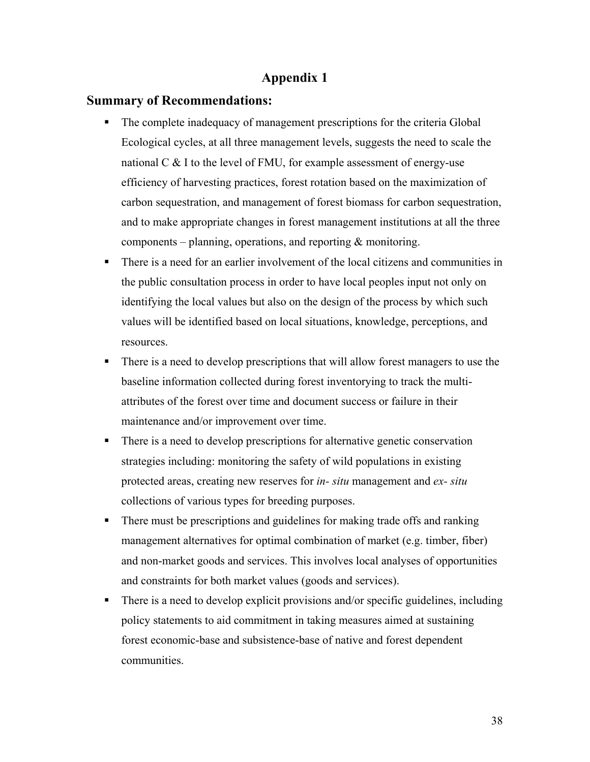# **Appendix 1**

# **Summary of Recommendations:**

- The complete inadequacy of management prescriptions for the criteria Global Ecological cycles, at all three management levels, suggests the need to scale the national  $C \& 1$  to the level of FMU, for example assessment of energy-use efficiency of harvesting practices, forest rotation based on the maximization of carbon sequestration, and management of forest biomass for carbon sequestration, and to make appropriate changes in forest management institutions at all the three components – planning, operations, and reporting  $\&$  monitoring.
- There is a need for an earlier involvement of the local citizens and communities in the public consultation process in order to have local peoples input not only on identifying the local values but also on the design of the process by which such values will be identified based on local situations, knowledge, perceptions, and resources.
- There is a need to develop prescriptions that will allow forest managers to use the baseline information collected during forest inventorying to track the multiattributes of the forest over time and document success or failure in their maintenance and/or improvement over time.
- There is a need to develop prescriptions for alternative genetic conservation strategies including: monitoring the safety of wild populations in existing protected areas, creating new reserves for *in- situ* management and *ex- situ* collections of various types for breeding purposes.
- There must be prescriptions and guidelines for making trade offs and ranking management alternatives for optimal combination of market (e.g. timber, fiber) and non-market goods and services. This involves local analyses of opportunities and constraints for both market values (goods and services).
- There is a need to develop explicit provisions and/or specific guidelines, including policy statements to aid commitment in taking measures aimed at sustaining forest economic-base and subsistence-base of native and forest dependent communities.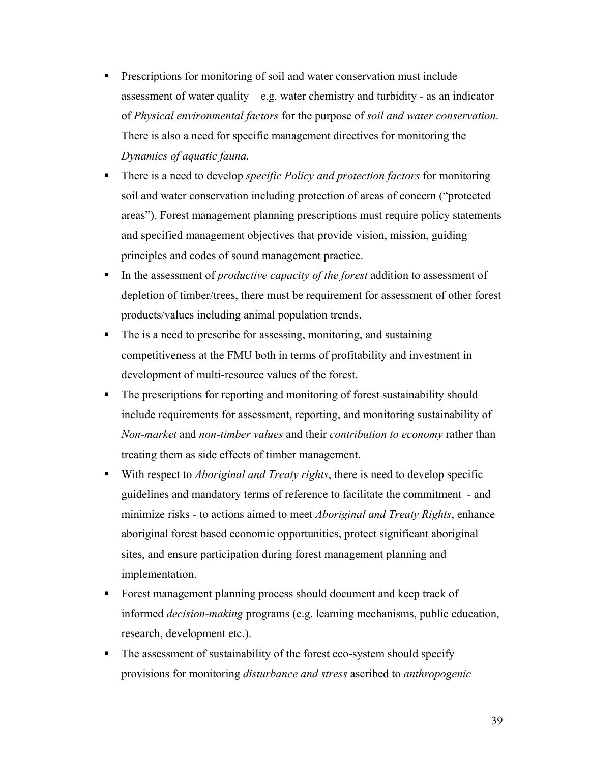- **Prescriptions for monitoring of soil and water conservation must include** assessment of water quality – e.g. water chemistry and turbidity - as an indicator of *Physical environmental factors* for the purpose of *soil and water conservation*. There is also a need for specific management directives for monitoring the *Dynamics of aquatic fauna.*
- There is a need to develop *specific Policy and protection factors* for monitoring soil and water conservation including protection of areas of concern ("protected areas"). Forest management planning prescriptions must require policy statements and specified management objectives that provide vision, mission, guiding principles and codes of sound management practice.
- In the assessment of *productive capacity of the forest* addition to assessment of depletion of timber/trees, there must be requirement for assessment of other forest products/values including animal population trends.
- The is a need to prescribe for assessing, monitoring, and sustaining competitiveness at the FMU both in terms of profitability and investment in development of multi-resource values of the forest.
- The prescriptions for reporting and monitoring of forest sustainability should include requirements for assessment, reporting, and monitoring sustainability of *Non-market* and *non-timber values* and their *contribution to economy* rather than treating them as side effects of timber management.
- With respect to *Aboriginal and Treaty rights*, there is need to develop specific guidelines and mandatory terms of reference to facilitate the commitment - and minimize risks - to actions aimed to meet *Aboriginal and Treaty Rights*, enhance aboriginal forest based economic opportunities, protect significant aboriginal sites, and ensure participation during forest management planning and implementation.
- Forest management planning process should document and keep track of informed *decision-making* programs (e.g. learning mechanisms, public education, research, development etc.).
- The assessment of sustainability of the forest eco-system should specify provisions for monitoring *disturbance and stress* ascribed to *anthropogenic*